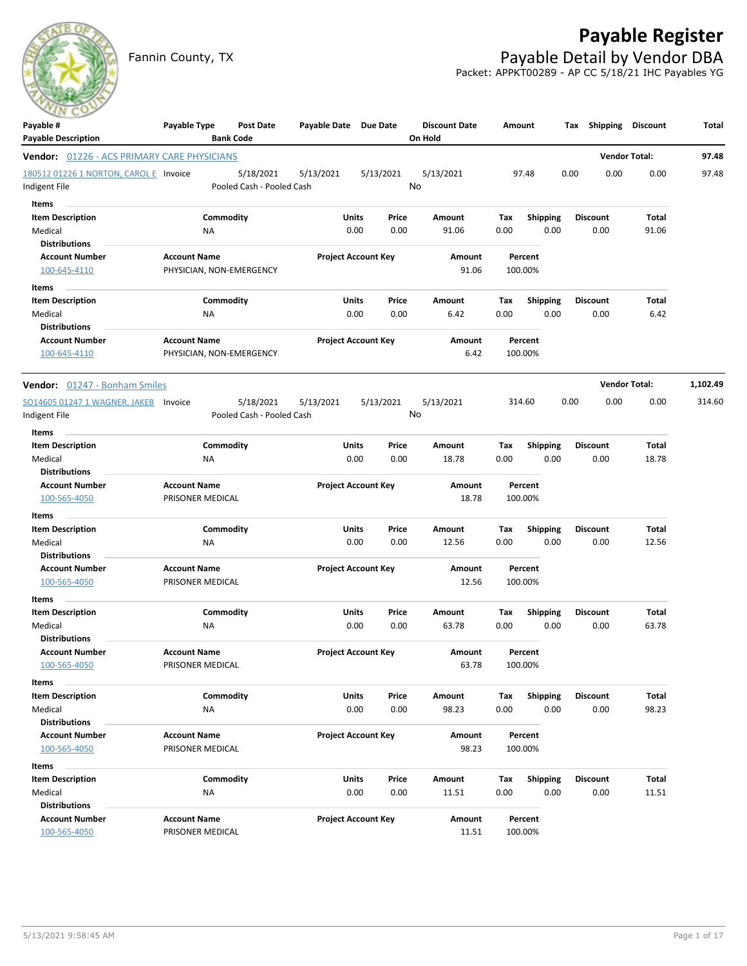# **Payable Register**

Fannin County, TX **Payable Detail by Vendor DBA** Packet: APPKT00289 - AP CC 5/18/21 IHC Payables YG



| Payable #<br><b>Payable Description</b>                             | Payable Type                            | <b>Post Date</b><br><b>Bank Code</b>   | Payable Date Due Date |                            | <b>Discount Date</b><br>On Hold | Amount             |                         | <b>Shipping</b><br>Tax  | <b>Discount</b>      | Total    |
|---------------------------------------------------------------------|-----------------------------------------|----------------------------------------|-----------------------|----------------------------|---------------------------------|--------------------|-------------------------|-------------------------|----------------------|----------|
| Vendor: 01226 - ACS PRIMARY CARE PHYSICIANS                         |                                         |                                        |                       |                            |                                 |                    |                         |                         | <b>Vendor Total:</b> | 97.48    |
| 180512 01226 1 NORTON, CAROL E Invoice<br>Indigent File             |                                         | 5/18/2021<br>Pooled Cash - Pooled Cash | 5/13/2021             | 5/13/2021                  | 5/13/2021<br>No                 | 97.48              |                         | 0.00<br>0.00            | 0.00                 | 97.48    |
| Items<br><b>Item Description</b><br>Medical<br><b>Distributions</b> | NA                                      | Commodity                              | Units                 | Price<br>0.00<br>0.00      | Amount<br>91.06                 | Tax<br>0.00        | Shipping<br>0.00        | <b>Discount</b><br>0.00 | Total<br>91.06       |          |
| <b>Account Number</b><br>100-645-4110                               | <b>Account Name</b>                     | PHYSICIAN, NON-EMERGENCY               |                       | <b>Project Account Key</b> | Amount<br>91.06                 | Percent<br>100.00% |                         |                         |                      |          |
| Items<br><b>Item Description</b><br>Medical<br><b>Distributions</b> | NA                                      | Commodity                              | Units                 | Price<br>0.00<br>0.00      | Amount<br>6.42                  | Tax<br>0.00        | <b>Shipping</b><br>0.00 | <b>Discount</b><br>0.00 | Total<br>6.42        |          |
| <b>Account Number</b><br>100-645-4110                               | <b>Account Name</b>                     | PHYSICIAN, NON-EMERGENCY               |                       | <b>Project Account Key</b> | Amount<br>6.42                  | Percent<br>100.00% |                         |                         |                      |          |
| <b>Vendor:</b> 01247 - Bonham Smiles                                |                                         |                                        |                       |                            |                                 |                    |                         |                         | <b>Vendor Total:</b> | 1,102.49 |
| SO14605 01247 1 WAGNER, JAKEB Invoice<br>Indigent File              |                                         | 5/18/2021<br>Pooled Cash - Pooled Cash | 5/13/2021             | 5/13/2021                  | 5/13/2021<br>No                 | 314.60             |                         | 0.00<br>0.00            | 0.00                 | 314.60   |
| Items                                                               |                                         |                                        |                       |                            |                                 |                    |                         |                         |                      |          |
| <b>Item Description</b><br>Medical                                  | <b>NA</b>                               | Commodity                              | Units                 | Price<br>0.00<br>0.00      | Amount<br>18.78                 | Tax<br>0.00        | <b>Shipping</b><br>0.00 | <b>Discount</b><br>0.00 | Total<br>18.78       |          |
| <b>Distributions</b>                                                |                                         |                                        |                       |                            |                                 |                    |                         |                         |                      |          |
| <b>Account Number</b><br>100-565-4050                               | <b>Account Name</b><br>PRISONER MEDICAL |                                        |                       | <b>Project Account Key</b> | Amount<br>18.78                 | Percent<br>100.00% |                         |                         |                      |          |
| Items                                                               |                                         |                                        |                       |                            |                                 |                    |                         |                         |                      |          |
| <b>Item Description</b>                                             |                                         | Commodity                              | Units                 | Price                      | Amount                          | Tax                | <b>Shipping</b>         | <b>Discount</b>         | Total                |          |
| Medical<br><b>Distributions</b>                                     | <b>NA</b>                               |                                        |                       | 0.00<br>0.00               | 12.56                           | 0.00               | 0.00                    | 0.00                    | 12.56                |          |
| <b>Account Number</b><br>100-565-4050                               | <b>Account Name</b><br>PRISONER MEDICAL |                                        |                       | <b>Project Account Key</b> | Amount<br>12.56                 | Percent<br>100.00% |                         |                         |                      |          |
| Items                                                               |                                         |                                        |                       |                            |                                 |                    |                         |                         |                      |          |
| <b>Item Description</b><br>Medical<br>Distributions                 | NA                                      | Commodity                              | Units<br>0.00         | Price<br>0.00              | Amount<br>63.78                 | Tax<br>0.00        | <b>Shipping</b><br>0.00 | <b>Discount</b><br>0.00 | Total<br>63.78       |          |
| <b>Account Number</b><br>100-565-4050                               | Account Name<br>PRISONER MEDICAL        |                                        |                       | <b>Project Account Key</b> | Amount<br>63.78                 | Percent<br>100.00% |                         |                         |                      |          |
| Items                                                               |                                         |                                        |                       |                            |                                 |                    |                         |                         |                      |          |
| <b>Item Description</b>                                             |                                         | Commodity                              | <b>Units</b>          | Price                      | Amount                          | Tax                | <b>Shipping</b>         | <b>Discount</b>         | Total                |          |
| Medical<br><b>Distributions</b>                                     | NA                                      |                                        |                       | 0.00<br>0.00               | 98.23                           | 0.00               | 0.00                    | 0.00                    | 98.23                |          |
| <b>Account Number</b><br>100-565-4050                               | <b>Account Name</b><br>PRISONER MEDICAL |                                        |                       | <b>Project Account Key</b> | Amount<br>98.23                 | Percent<br>100.00% |                         |                         |                      |          |
| Items                                                               |                                         |                                        |                       |                            |                                 |                    |                         |                         |                      |          |
| <b>Item Description</b><br>Medical                                  | NA                                      | Commodity                              | <b>Units</b>          | Price<br>0.00<br>0.00      | Amount<br>11.51                 | Tax<br>0.00        | <b>Shipping</b><br>0.00 | <b>Discount</b><br>0.00 | Total<br>11.51       |          |
| <b>Distributions</b><br><b>Account Number</b><br>100-565-4050       | <b>Account Name</b><br>PRISONER MEDICAL |                                        |                       | <b>Project Account Key</b> | Amount<br>11.51                 | Percent<br>100.00% |                         |                         |                      |          |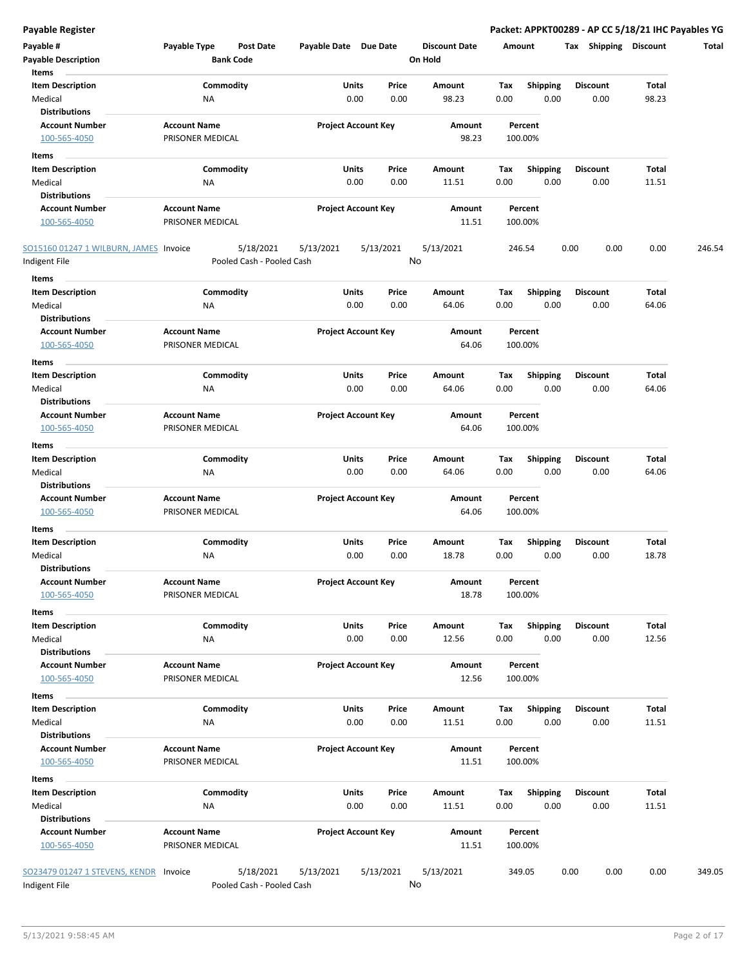| Payable #                              | Payable Type                            | <b>Post Date</b>          | Payable Date Due Date |                            | <b>Discount Date</b> |      | Amount             | <b>Shipping</b><br>Tax | <b>Discount</b> | Total  |
|----------------------------------------|-----------------------------------------|---------------------------|-----------------------|----------------------------|----------------------|------|--------------------|------------------------|-----------------|--------|
| <b>Payable Description</b>             |                                         | <b>Bank Code</b>          |                       |                            | On Hold              |      |                    |                        |                 |        |
| Items                                  |                                         |                           |                       |                            |                      |      |                    |                        |                 |        |
| <b>Item Description</b>                |                                         | Commodity                 | Units                 | Price                      | Amount               | Tax  | Shipping           | <b>Discount</b>        | Total           |        |
| Medical                                | ΝA                                      |                           |                       | 0.00<br>0.00               | 98.23                | 0.00 | 0.00               | 0.00                   | 98.23           |        |
| <b>Distributions</b>                   |                                         |                           |                       |                            |                      |      |                    |                        |                 |        |
| <b>Account Number</b><br>100-565-4050  | <b>Account Name</b><br>PRISONER MEDICAL |                           |                       | <b>Project Account Key</b> | Amount<br>98.23      |      | Percent<br>100.00% |                        |                 |        |
| Items                                  |                                         |                           |                       |                            |                      |      |                    |                        |                 |        |
| <b>Item Description</b>                |                                         | Commodity                 | Units                 | Price                      | Amount               | Tax  | <b>Shipping</b>    | <b>Discount</b>        | Total           |        |
| Medical                                | NA                                      |                           |                       | 0.00<br>0.00               | 11.51                | 0.00 | 0.00               | 0.00                   | 11.51           |        |
| <b>Distributions</b>                   |                                         |                           |                       |                            |                      |      |                    |                        |                 |        |
| <b>Account Number</b>                  | <b>Account Name</b>                     |                           |                       | <b>Project Account Key</b> | Amount               |      | Percent            |                        |                 |        |
| 100-565-4050                           | PRISONER MEDICAL                        |                           |                       |                            | 11.51                |      | 100.00%            |                        |                 |        |
| SO15160 01247 1 WILBURN, JAMES Invoice |                                         | 5/18/2021                 | 5/13/2021             | 5/13/2021                  | 5/13/2021            |      | 246.54             | 0.00<br>0.00           | 0.00            | 246.54 |
| Indigent File                          |                                         | Pooled Cash - Pooled Cash |                       |                            | No                   |      |                    |                        |                 |        |
| Items                                  |                                         |                           |                       |                            |                      |      |                    |                        |                 |        |
| <b>Item Description</b>                |                                         | Commodity                 | Units                 | Price                      | Amount               | Tax  | <b>Shipping</b>    | <b>Discount</b>        | Total           |        |
| Medical<br><b>Distributions</b>        | ΝA                                      |                           |                       | 0.00<br>0.00               | 64.06                | 0.00 | 0.00               | 0.00                   | 64.06           |        |
| <b>Account Number</b>                  | <b>Account Name</b>                     |                           |                       | <b>Project Account Key</b> | Amount               |      | Percent            |                        |                 |        |
| 100-565-4050                           | PRISONER MEDICAL                        |                           |                       |                            | 64.06                |      | 100.00%            |                        |                 |        |
| Items                                  |                                         |                           |                       |                            |                      |      |                    |                        |                 |        |
| <b>Item Description</b>                |                                         | Commodity                 | Units                 | Price                      | Amount               | Tax  | <b>Shipping</b>    | Discount               | Total           |        |
| Medical                                | NA                                      |                           |                       | 0.00<br>0.00               | 64.06                | 0.00 | 0.00               | 0.00                   | 64.06           |        |
| <b>Distributions</b>                   |                                         |                           |                       |                            |                      |      |                    |                        |                 |        |
| <b>Account Number</b>                  | <b>Account Name</b>                     |                           |                       | <b>Project Account Key</b> | Amount               |      | Percent            |                        |                 |        |
| 100-565-4050                           | PRISONER MEDICAL                        |                           |                       |                            | 64.06                |      | 100.00%            |                        |                 |        |
| Items                                  |                                         |                           |                       |                            |                      |      |                    |                        |                 |        |
| <b>Item Description</b>                |                                         | Commodity                 | Units                 | Price                      | Amount               | Tax  | Shipping           | Discount               | Total           |        |
| Medical                                | ΝA                                      |                           |                       | 0.00<br>0.00               | 64.06                | 0.00 | 0.00               | 0.00                   | 64.06           |        |
| <b>Distributions</b>                   |                                         |                           |                       |                            |                      |      |                    |                        |                 |        |
| <b>Account Number</b>                  | <b>Account Name</b>                     |                           |                       | <b>Project Account Key</b> | Amount               |      | Percent            |                        |                 |        |
| 100-565-4050                           | PRISONER MEDICAL                        |                           |                       |                            | 64.06                |      | 100.00%            |                        |                 |        |
| Items                                  |                                         |                           |                       |                            |                      |      |                    |                        |                 |        |
| <b>Item Description</b>                |                                         | Commodity                 | Units                 | Price                      | Amount               | Tax  | <b>Shipping</b>    | <b>Discount</b>        | Total           |        |
| Medical                                | NA                                      |                           |                       | 0.00<br>0.00               | 18.78                | 0.00 | 0.00               | 0.00                   | 18.78           |        |
| <b>Distributions</b>                   |                                         |                           |                       |                            |                      |      |                    |                        |                 |        |
| <b>Account Number</b>                  | <b>Account Name</b>                     |                           |                       | <b>Project Account Key</b> | Amount               |      | Percent            |                        |                 |        |
| 100-565-4050                           | PRISONER MEDICAL                        |                           |                       |                            | 18.78                |      | 100.00%            |                        |                 |        |
| Items                                  |                                         |                           |                       |                            |                      |      |                    |                        |                 |        |
| <b>Item Description</b>                |                                         | Commodity                 | Units                 | Price                      | Amount               | Tax  | Shipping           | <b>Discount</b>        | Total           |        |
| Medical                                | NA                                      |                           |                       | 0.00<br>0.00               | 12.56                | 0.00 | 0.00               | 0.00                   | 12.56           |        |
| <b>Distributions</b>                   |                                         |                           |                       |                            |                      |      |                    |                        |                 |        |
| <b>Account Number</b>                  | <b>Account Name</b>                     |                           |                       | <b>Project Account Key</b> | Amount               |      | Percent            |                        |                 |        |
| 100-565-4050                           | PRISONER MEDICAL                        |                           |                       |                            | 12.56                |      | 100.00%            |                        |                 |        |
| Items                                  |                                         |                           |                       |                            |                      |      |                    |                        |                 |        |
| <b>Item Description</b>                |                                         | Commodity                 | Units                 | Price                      | Amount               | Tax  | <b>Shipping</b>    | <b>Discount</b>        | Total           |        |
| Medical                                | <b>NA</b>                               |                           |                       | 0.00<br>0.00               | 11.51                | 0.00 | 0.00               | 0.00                   | 11.51           |        |
| <b>Distributions</b>                   |                                         |                           |                       |                            |                      |      |                    |                        |                 |        |
| <b>Account Number</b>                  | <b>Account Name</b>                     |                           |                       | <b>Project Account Key</b> | Amount               |      | Percent            |                        |                 |        |
| 100-565-4050                           | PRISONER MEDICAL                        |                           |                       |                            | 11.51                |      | 100.00%            |                        |                 |        |
| Items                                  |                                         |                           |                       |                            |                      |      |                    |                        |                 |        |
| <b>Item Description</b>                |                                         | Commodity                 | Units                 | Price                      | Amount               | Tax  | <b>Shipping</b>    | <b>Discount</b>        | Total           |        |
| Medical                                | NA                                      |                           |                       | 0.00<br>0.00               | 11.51                | 0.00 | 0.00               | 0.00                   | 11.51           |        |
| <b>Distributions</b>                   |                                         |                           |                       |                            |                      |      |                    |                        |                 |        |
| <b>Account Number</b>                  | <b>Account Name</b>                     |                           |                       | <b>Project Account Key</b> | Amount               |      | Percent            |                        |                 |        |
| 100-565-4050                           | PRISONER MEDICAL                        |                           |                       |                            | 11.51                |      | 100.00%            |                        |                 |        |
|                                        |                                         |                           |                       |                            |                      |      |                    |                        |                 |        |
| SO23479 01247 1 STEVENS, KENDR         | Invoice                                 | 5/18/2021                 | 5/13/2021             | 5/13/2021                  | 5/13/2021            |      | 349.05             | 0.00<br>0.00           | 0.00            | 349.05 |
| Indigent File                          |                                         | Pooled Cash - Pooled Cash |                       |                            | No                   |      |                    |                        |                 |        |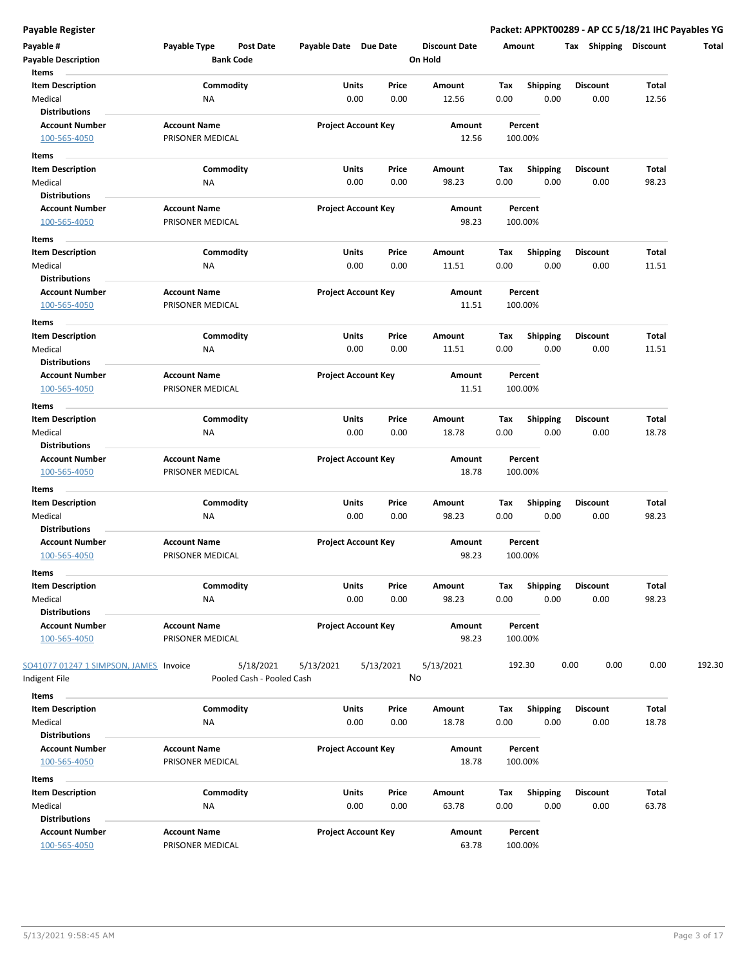| Payable #                              | Payable Type                            | <b>Post Date</b>          | Payable Date Due Date |                                | <b>Discount Date</b> |             | Amount                  | <b>Shipping</b><br>Tax | <b>Discount</b> | Total  |
|----------------------------------------|-----------------------------------------|---------------------------|-----------------------|--------------------------------|----------------------|-------------|-------------------------|------------------------|-----------------|--------|
| <b>Payable Description</b>             |                                         | <b>Bank Code</b>          |                       |                                | On Hold              |             |                         |                        |                 |        |
| Items                                  |                                         |                           |                       |                                |                      |             |                         |                        |                 |        |
| <b>Item Description</b><br>Medical     | ΝA                                      | Commodity                 |                       | Units<br>Price<br>0.00<br>0.00 | Amount<br>12.56      | Tax<br>0.00 | <b>Shipping</b><br>0.00 | Discount<br>0.00       | Total<br>12.56  |        |
| <b>Distributions</b>                   |                                         |                           |                       |                                |                      |             |                         |                        |                 |        |
| <b>Account Number</b>                  | <b>Account Name</b>                     |                           |                       | <b>Project Account Key</b>     | Amount               |             | Percent                 |                        |                 |        |
| 100-565-4050                           | PRISONER MEDICAL                        |                           |                       |                                | 12.56                |             | 100.00%                 |                        |                 |        |
| Items                                  |                                         |                           |                       |                                |                      |             |                         |                        |                 |        |
| <b>Item Description</b>                |                                         | Commodity                 |                       | Units<br>Price                 | Amount               | Tax         | <b>Shipping</b>         | <b>Discount</b>        | Total           |        |
| Medical                                | NA                                      |                           |                       | 0.00<br>0.00                   | 98.23                | 0.00        | 0.00                    | 0.00                   | 98.23           |        |
| <b>Distributions</b>                   |                                         |                           |                       |                                |                      |             |                         |                        |                 |        |
| <b>Account Number</b>                  | <b>Account Name</b>                     |                           |                       | <b>Project Account Key</b>     | Amount               |             | Percent                 |                        |                 |        |
| 100-565-4050                           | PRISONER MEDICAL                        |                           |                       |                                | 98.23                |             | 100.00%                 |                        |                 |        |
| Items                                  |                                         |                           |                       |                                |                      |             |                         |                        |                 |        |
| Item Description                       |                                         | Commodity                 |                       | Units<br>Price                 | Amount               | Tax         | <b>Shipping</b>         | Discount               | Total           |        |
| Medical                                | NA                                      |                           |                       | 0.00<br>0.00                   | 11.51                | 0.00        | 0.00                    | 0.00                   | 11.51           |        |
| <b>Distributions</b>                   |                                         |                           |                       |                                |                      |             |                         |                        |                 |        |
| <b>Account Number</b>                  | <b>Account Name</b>                     |                           |                       | <b>Project Account Key</b>     | Amount               |             | Percent                 |                        |                 |        |
| 100-565-4050                           | PRISONER MEDICAL                        |                           |                       |                                | 11.51                |             | 100.00%                 |                        |                 |        |
| Items                                  |                                         |                           |                       |                                |                      |             |                         |                        |                 |        |
| <b>Item Description</b>                |                                         | Commodity                 |                       | Units<br>Price                 | Amount               | Tax         | <b>Shipping</b>         | <b>Discount</b>        | Total           |        |
| Medical                                | ΝA                                      |                           |                       | 0.00<br>0.00                   | 11.51                | 0.00        | 0.00                    | 0.00                   | 11.51           |        |
| <b>Distributions</b>                   |                                         |                           |                       |                                |                      |             |                         |                        |                 |        |
| <b>Account Number</b>                  | <b>Account Name</b>                     |                           |                       | <b>Project Account Key</b>     | Amount               |             | Percent                 |                        |                 |        |
| 100-565-4050                           | PRISONER MEDICAL                        |                           |                       |                                | 11.51                |             | 100.00%                 |                        |                 |        |
| Items                                  |                                         |                           |                       |                                |                      |             |                         |                        |                 |        |
| <b>Item Description</b>                |                                         | Commodity                 |                       | Units<br>Price                 | Amount               | Тах         | <b>Shipping</b>         | Discount               | Total           |        |
| Medical                                | NA                                      |                           |                       | 0.00<br>0.00                   | 18.78                | 0.00        | 0.00                    | 0.00                   | 18.78           |        |
| <b>Distributions</b>                   |                                         |                           |                       |                                |                      |             |                         |                        |                 |        |
| <b>Account Number</b>                  | <b>Account Name</b>                     |                           |                       | <b>Project Account Key</b>     | Amount               |             | Percent                 |                        |                 |        |
| 100-565-4050                           | PRISONER MEDICAL                        |                           |                       |                                | 18.78                |             | 100.00%                 |                        |                 |        |
| Items                                  |                                         |                           |                       |                                |                      |             |                         |                        |                 |        |
| <b>Item Description</b>                |                                         | Commodity                 |                       | Units<br>Price                 | Amount               | Tax         | <b>Shipping</b>         | Discount               | Total           |        |
| Medical                                | ΝA                                      |                           |                       | 0.00<br>0.00                   | 98.23                | 0.00        | 0.00                    | 0.00                   | 98.23           |        |
| <b>Distributions</b>                   |                                         |                           |                       |                                |                      |             |                         |                        |                 |        |
| <b>Account Number</b>                  | <b>Account Name</b>                     |                           |                       | <b>Project Account Key</b>     | Amount               |             | Percent                 |                        |                 |        |
| 100-565-4050                           | PRISONER MEDICAL                        |                           |                       |                                | 98.23                |             | 100.00%                 |                        |                 |        |
| Items                                  |                                         |                           |                       |                                |                      |             |                         |                        |                 |        |
| <b>Item Description</b>                |                                         | Commodity                 | <b>Units</b>          | Price                          | Amount               | Тах         | Shipping                | <b>Discount</b>        | Total           |        |
| Medical                                | ΝA                                      |                           |                       | 0.00<br>0.00                   | 98.23                | 0.00        | 0.00                    | 0.00                   | 98.23           |        |
| <b>Distributions</b>                   |                                         |                           |                       |                                |                      |             |                         |                        |                 |        |
| <b>Account Number</b>                  | <b>Account Name</b>                     |                           |                       | <b>Project Account Key</b>     | Amount               |             | Percent                 |                        |                 |        |
| 100-565-4050                           | PRISONER MEDICAL                        |                           |                       |                                | 98.23                |             | 100.00%                 |                        |                 |        |
|                                        |                                         |                           |                       |                                |                      |             |                         |                        |                 |        |
| SO41077 01247 1 SIMPSON, JAMES Invoice |                                         | 5/18/2021                 | 5/13/2021             | 5/13/2021                      | 5/13/2021            |             | 192.30                  | 0.00<br>0.00           | 0.00            | 192.30 |
| Indigent File                          |                                         | Pooled Cash - Pooled Cash |                       |                                | No                   |             |                         |                        |                 |        |
| Items                                  |                                         |                           |                       |                                |                      |             |                         |                        |                 |        |
| <b>Item Description</b>                |                                         | Commodity                 |                       | Units<br>Price                 | Amount               | Tax         | <b>Shipping</b>         | <b>Discount</b>        | Total           |        |
| Medical                                | ΝA                                      |                           |                       | 0.00<br>0.00                   | 18.78                | 0.00        | 0.00                    | 0.00                   | 18.78           |        |
| <b>Distributions</b>                   |                                         |                           |                       |                                |                      |             |                         |                        |                 |        |
| <b>Account Number</b>                  | <b>Account Name</b>                     |                           |                       | <b>Project Account Key</b>     | Amount               |             | Percent                 |                        |                 |        |
| 100-565-4050                           | PRISONER MEDICAL                        |                           |                       |                                | 18.78                |             | 100.00%                 |                        |                 |        |
| Items                                  |                                         |                           |                       |                                |                      |             |                         |                        |                 |        |
| <b>Item Description</b>                |                                         | Commodity                 |                       | Units<br>Price                 | Amount               | Тах         | <b>Shipping</b>         | <b>Discount</b>        | Total           |        |
| Medical                                | NA                                      |                           |                       | 0.00<br>0.00                   | 63.78                | 0.00        | 0.00                    | 0.00                   | 63.78           |        |
| <b>Distributions</b>                   |                                         |                           |                       |                                |                      |             |                         |                        |                 |        |
| <b>Account Number</b><br>100-565-4050  | <b>Account Name</b><br>PRISONER MEDICAL |                           |                       | <b>Project Account Key</b>     | Amount<br>63.78      |             | Percent<br>100.00%      |                        |                 |        |
|                                        |                                         |                           |                       |                                |                      |             |                         |                        |                 |        |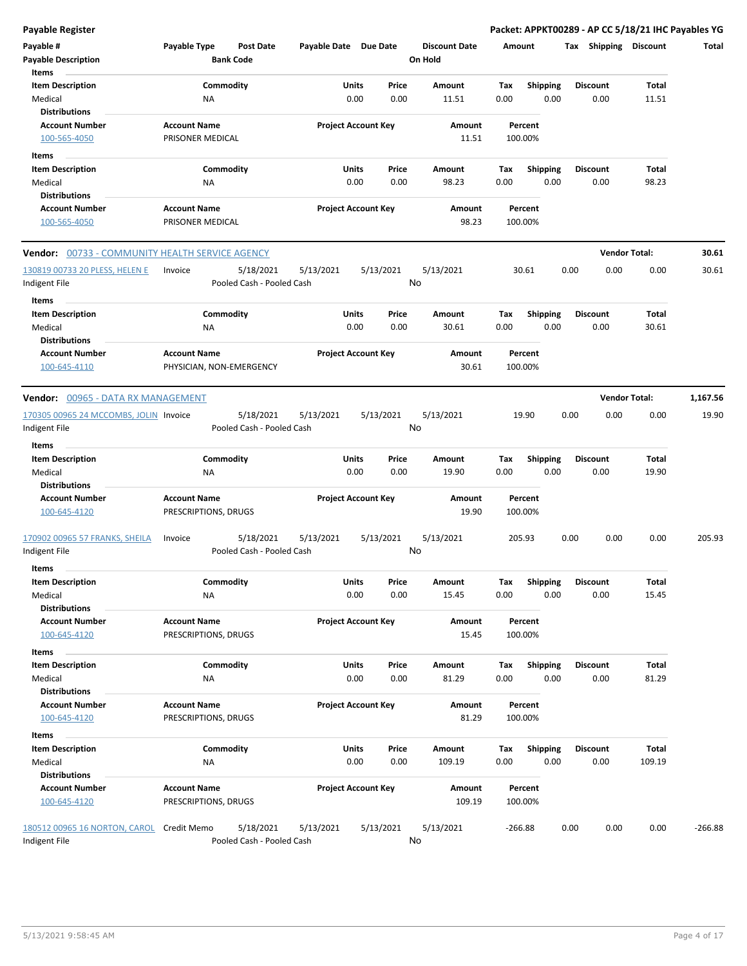|  | Payable Register |  |
|--|------------------|--|
|  |                  |  |

| Payable #<br><b>Payable Description</b>                                    | Payable Type                                    | <b>Post Date</b><br><b>Bank Code</b>   | Payable Date Due Date |                                | <b>Discount Date</b><br>On Hold | Amount                         |      | Tax Shipping            | <b>Discount</b> | <b>Total</b> |
|----------------------------------------------------------------------------|-------------------------------------------------|----------------------------------------|-----------------------|--------------------------------|---------------------------------|--------------------------------|------|-------------------------|-----------------|--------------|
| Items<br><b>Item Description</b><br>Medical                                | <b>NA</b>                                       | Commodity                              |                       | Units<br>Price<br>0.00<br>0.00 | Amount<br>11.51                 | <b>Shipping</b><br>Tax<br>0.00 | 0.00 | <b>Discount</b><br>0.00 | Total<br>11.51  |              |
| <b>Distributions</b><br><b>Account Number</b><br>100-565-4050              | <b>Account Name</b><br>PRISONER MEDICAL         |                                        |                       | <b>Project Account Key</b>     | Amount<br>11.51                 | Percent<br>100.00%             |      |                         |                 |              |
| Items<br><b>Item Description</b>                                           |                                                 |                                        |                       | Units<br>Price                 |                                 |                                |      | <b>Discount</b>         | Total           |              |
| Medical<br><b>Distributions</b>                                            | <b>NA</b>                                       | Commodity                              |                       | 0.00<br>0.00                   | Amount<br>98.23                 | Tax<br><b>Shipping</b><br>0.00 | 0.00 | 0.00                    | 98.23           |              |
| <b>Account Number</b><br>100-565-4050                                      | <b>Account Name</b><br>PRISONER MEDICAL         |                                        |                       | <b>Project Account Key</b>     | Amount<br>98.23                 | Percent<br>100.00%             |      |                         |                 |              |
| <b>Vendor:</b> 00733 - COMMUNITY HEALTH SERVICE AGENCY                     |                                                 |                                        |                       |                                |                                 |                                |      | <b>Vendor Total:</b>    |                 | 30.61        |
| 130819 00733 20 PLESS, HELEN E<br>Indigent File                            | Invoice                                         | 5/18/2021<br>Pooled Cash - Pooled Cash | 5/13/2021             | 5/13/2021                      | 5/13/2021<br>No                 | 30.61                          | 0.00 | 0.00                    | 0.00            | 30.61        |
| <b>Items</b><br><b>Item Description</b><br>Medical<br><b>Distributions</b> | <b>NA</b>                                       | Commodity                              |                       | Units<br>Price<br>0.00<br>0.00 | Amount<br>30.61                 | Tax<br><b>Shipping</b><br>0.00 | 0.00 | <b>Discount</b><br>0.00 | Total<br>30.61  |              |
| <b>Account Number</b><br>100-645-4110                                      | <b>Account Name</b><br>PHYSICIAN, NON-EMERGENCY |                                        |                       | <b>Project Account Key</b>     | Amount<br>30.61                 | Percent<br>100.00%             |      |                         |                 |              |
| <b>Vendor:</b> 00965 - DATA RX MANAGEMENT                                  |                                                 |                                        |                       |                                |                                 |                                |      | <b>Vendor Total:</b>    |                 | 1,167.56     |
| 170305 00965 24 MCCOMBS, JOLIN Invoice<br>Indigent File                    |                                                 | 5/18/2021<br>Pooled Cash - Pooled Cash | 5/13/2021             | 5/13/2021                      | 5/13/2021<br>No                 | 19.90                          | 0.00 | 0.00                    | 0.00            | 19.90        |
| Items<br><b>Item Description</b><br>Medical<br><b>Distributions</b>        | <b>NA</b>                                       | Commodity                              |                       | Units<br>Price<br>0.00<br>0.00 | Amount<br>19.90                 | <b>Shipping</b><br>Tax<br>0.00 | 0.00 | <b>Discount</b><br>0.00 | Total<br>19.90  |              |
| <b>Account Number</b><br>100-645-4120                                      | <b>Account Name</b><br>PRESCRIPTIONS, DRUGS     |                                        |                       | <b>Project Account Key</b>     | Amount<br>19.90                 | Percent<br>100.00%             |      |                         |                 |              |
| 170902 00965 57 FRANKS, SHEILA<br>Indigent File                            | Invoice                                         | 5/18/2021<br>Pooled Cash - Pooled Cash | 5/13/2021             | 5/13/2021                      | 5/13/2021<br>No                 | 205.93                         | 0.00 | 0.00                    | 0.00            | 205.93       |
| Items<br><b>Item Description</b><br>Medical<br><b>Distributions</b>        | ΝA                                              | Commodity                              |                       | Units<br>Price<br>0.00<br>0.00 | Amount<br>15.45                 | Shipping<br>Tax<br>0.00        | 0.00 | <b>Discount</b><br>0.00 | Total<br>15.45  |              |
| <b>Account Number</b><br>100-645-4120                                      | <b>Account Name</b><br>PRESCRIPTIONS, DRUGS     |                                        |                       | <b>Project Account Key</b>     | Amount<br>15.45                 | Percent<br>100.00%             |      |                         |                 |              |
| Items<br><b>Item Description</b><br>Medical<br><b>Distributions</b>        | NA                                              | Commodity                              |                       | Units<br>Price<br>0.00<br>0.00 | Amount<br>81.29                 | Tax<br><b>Shipping</b><br>0.00 | 0.00 | <b>Discount</b><br>0.00 | Total<br>81.29  |              |
| <b>Account Number</b><br>100-645-4120                                      | <b>Account Name</b><br>PRESCRIPTIONS, DRUGS     |                                        |                       | <b>Project Account Key</b>     | Amount<br>81.29                 | Percent<br>100.00%             |      |                         |                 |              |
| Items<br><b>Item Description</b><br>Medical                                | ΝA                                              | Commodity                              |                       | Units<br>Price<br>0.00<br>0.00 | Amount<br>109.19                | Tax<br><b>Shipping</b><br>0.00 | 0.00 | <b>Discount</b><br>0.00 | Total<br>109.19 |              |
| <b>Distributions</b><br><b>Account Number</b><br>100-645-4120              | <b>Account Name</b><br>PRESCRIPTIONS, DRUGS     |                                        |                       | <b>Project Account Key</b>     | Amount<br>109.19                | Percent<br>100.00%             |      |                         |                 |              |
| 180512 00965 16 NORTON, CAROL<br>Indigent File                             | Credit Memo                                     | 5/18/2021<br>Pooled Cash - Pooled Cash | 5/13/2021             | 5/13/2021                      | 5/13/2021<br>No                 | $-266.88$                      | 0.00 | 0.00                    | 0.00            | $-266.88$    |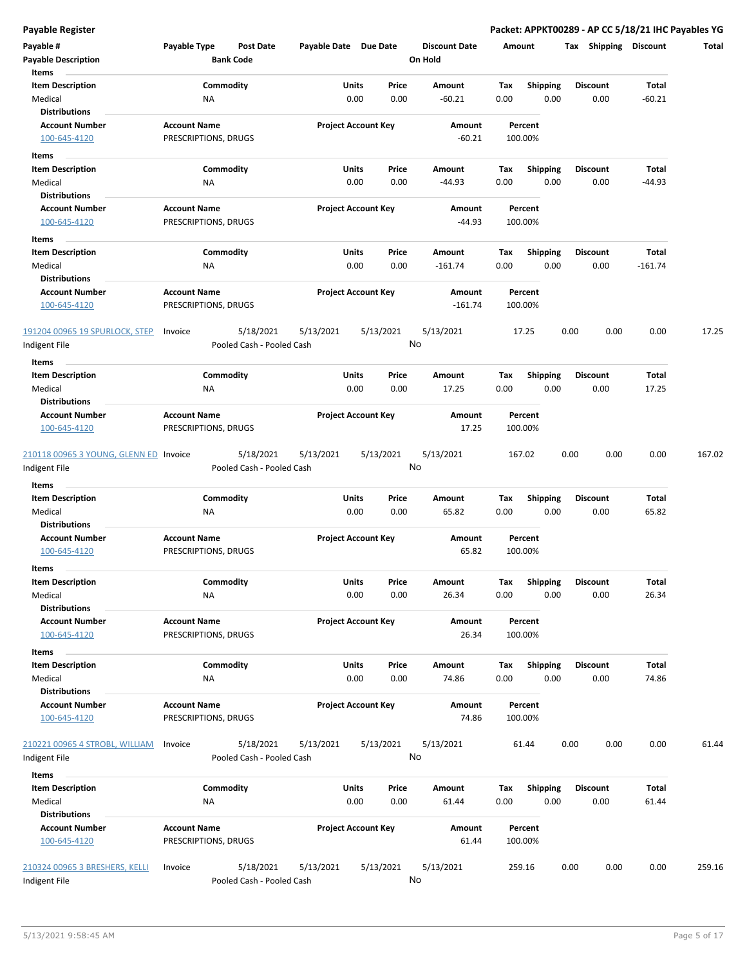| Payable #                              | Payable Type                                | <b>Post Date</b>          | Payable Date Due Date |                            |               | <b>Discount Date</b> | Amount      |                         | Tax  | <b>Shipping</b>         | <b>Discount</b>   | Total  |
|----------------------------------------|---------------------------------------------|---------------------------|-----------------------|----------------------------|---------------|----------------------|-------------|-------------------------|------|-------------------------|-------------------|--------|
| <b>Payable Description</b>             |                                             | <b>Bank Code</b>          |                       |                            |               | On Hold              |             |                         |      |                         |                   |        |
| Items                                  |                                             |                           |                       |                            |               |                      |             |                         |      |                         |                   |        |
| <b>Item Description</b>                |                                             | Commodity                 |                       | Units                      | Price         | Amount               | Tax         | <b>Shipping</b>         |      | <b>Discount</b>         | Total             |        |
| Medical                                | ΝA                                          |                           |                       | 0.00                       | 0.00          | $-60.21$             | 0.00        | 0.00                    |      | 0.00                    | $-60.21$          |        |
| <b>Distributions</b>                   |                                             |                           |                       |                            |               |                      |             |                         |      |                         |                   |        |
| <b>Account Number</b><br>100-645-4120  | <b>Account Name</b><br>PRESCRIPTIONS, DRUGS |                           |                       | <b>Project Account Key</b> |               | Amount<br>$-60.21$   |             | Percent<br>100.00%      |      |                         |                   |        |
|                                        |                                             |                           |                       |                            |               |                      |             |                         |      |                         |                   |        |
| Items                                  |                                             |                           |                       |                            |               |                      |             |                         |      |                         |                   |        |
| <b>Item Description</b>                |                                             | Commodity                 |                       | Units<br>0.00              | Price<br>0.00 | Amount<br>$-44.93$   | Тах<br>0.00 | <b>Shipping</b><br>0.00 |      | <b>Discount</b><br>0.00 | Total<br>$-44.93$ |        |
| Medical<br><b>Distributions</b>        | ΝA                                          |                           |                       |                            |               |                      |             |                         |      |                         |                   |        |
| <b>Account Number</b>                  | <b>Account Name</b>                         |                           |                       | <b>Project Account Key</b> |               | Amount               |             | Percent                 |      |                         |                   |        |
| 100-645-4120                           | PRESCRIPTIONS, DRUGS                        |                           |                       |                            |               | $-44.93$             |             | 100.00%                 |      |                         |                   |        |
|                                        |                                             |                           |                       |                            |               |                      |             |                         |      |                         |                   |        |
| Items                                  |                                             |                           |                       |                            |               |                      |             |                         |      |                         |                   |        |
| <b>Item Description</b>                |                                             | Commodity                 |                       | Units                      | Price         | Amount               | Tax         | <b>Shipping</b>         |      | <b>Discount</b>         | Total             |        |
| Medical                                | NA                                          |                           |                       | 0.00                       | 0.00          | $-161.74$            | 0.00        | 0.00                    |      | 0.00                    | $-161.74$         |        |
| <b>Distributions</b>                   |                                             |                           |                       |                            |               |                      |             |                         |      |                         |                   |        |
| <b>Account Number</b>                  | <b>Account Name</b>                         |                           |                       | <b>Project Account Key</b> |               | Amount               |             | Percent                 |      |                         |                   |        |
| 100-645-4120                           | PRESCRIPTIONS, DRUGS                        |                           |                       |                            |               | $-161.74$            |             | 100.00%                 |      |                         |                   |        |
| 191204 00965 19 SPURLOCK, STEP         | Invoice                                     | 5/18/2021                 | 5/13/2021             | 5/13/2021                  |               | 5/13/2021            |             | 17.25                   | 0.00 | 0.00                    | 0.00              | 17.25  |
| Indigent File                          |                                             | Pooled Cash - Pooled Cash |                       |                            |               | No                   |             |                         |      |                         |                   |        |
|                                        |                                             |                           |                       |                            |               |                      |             |                         |      |                         |                   |        |
| Items                                  |                                             | Commodity                 |                       | Units                      | Price         |                      |             |                         |      | <b>Discount</b>         | Total             |        |
| <b>Item Description</b><br>Medical     | ΝA                                          |                           |                       | 0.00                       | 0.00          | Amount<br>17.25      | Tax<br>0.00 | <b>Shipping</b><br>0.00 |      | 0.00                    | 17.25             |        |
| <b>Distributions</b>                   |                                             |                           |                       |                            |               |                      |             |                         |      |                         |                   |        |
| <b>Account Number</b>                  | <b>Account Name</b>                         |                           |                       | <b>Project Account Key</b> |               | Amount               |             | Percent                 |      |                         |                   |        |
| 100-645-4120                           | PRESCRIPTIONS, DRUGS                        |                           |                       |                            |               | 17.25                |             | 100.00%                 |      |                         |                   |        |
|                                        |                                             |                           |                       |                            |               |                      |             |                         |      |                         |                   |        |
| 210118 00965 3 YOUNG, GLENN ED Invoice |                                             | 5/18/2021                 | 5/13/2021             | 5/13/2021                  |               | 5/13/2021            |             | 167.02                  | 0.00 | 0.00                    | 0.00              | 167.02 |
| Indigent File                          |                                             | Pooled Cash - Pooled Cash |                       |                            |               | No                   |             |                         |      |                         |                   |        |
| Items                                  |                                             |                           |                       |                            |               |                      |             |                         |      |                         |                   |        |
| <b>Item Description</b>                |                                             | Commodity                 |                       | Units                      | Price         | Amount               | Tax         | Shipping                |      | <b>Discount</b>         | Total             |        |
| Medical                                | ΝA                                          |                           |                       | 0.00                       | 0.00          | 65.82                | 0.00        | 0.00                    |      | 0.00                    | 65.82             |        |
| <b>Distributions</b>                   |                                             |                           |                       |                            |               |                      |             |                         |      |                         |                   |        |
| <b>Account Number</b>                  | <b>Account Name</b>                         |                           |                       | <b>Project Account Key</b> |               | Amount               |             | Percent                 |      |                         |                   |        |
| 100-645-4120                           | PRESCRIPTIONS, DRUGS                        |                           |                       |                            |               | 65.82                |             | 100.00%                 |      |                         |                   |        |
|                                        |                                             |                           |                       |                            |               |                      |             |                         |      |                         |                   |        |
| Items<br>Item Description              |                                             | Commodity                 |                       | Units                      | Price         | Amount               | Tax         |                         |      | <b>Discount</b>         | Total             |        |
| Medical                                | <b>NA</b>                                   |                           |                       | 0.00                       | 0.00          | 26.34                | 0.00        | <b>Shipping</b><br>0.00 |      | 0.00                    | 26.34             |        |
| <b>Distributions</b>                   |                                             |                           |                       |                            |               |                      |             |                         |      |                         |                   |        |
| <b>Account Number</b>                  | <b>Account Name</b>                         |                           |                       | <b>Project Account Key</b> |               | Amount               |             | Percent                 |      |                         |                   |        |
| 100-645-4120                           | PRESCRIPTIONS, DRUGS                        |                           |                       |                            |               | 26.34                |             | 100.00%                 |      |                         |                   |        |
|                                        |                                             |                           |                       |                            |               |                      |             |                         |      |                         |                   |        |
| Items                                  |                                             |                           |                       |                            |               |                      |             |                         |      |                         |                   |        |
| <b>Item Description</b>                |                                             | Commodity                 |                       | Units                      | Price         | Amount               | Tax         | Shipping                |      | <b>Discount</b>         | Total             |        |
| Medical<br><b>Distributions</b>        | <b>NA</b>                                   |                           |                       | 0.00                       | 0.00          | 74.86                | 0.00        | 0.00                    |      | 0.00                    | 74.86             |        |
| <b>Account Number</b>                  |                                             |                           |                       |                            |               |                      |             |                         |      |                         |                   |        |
| 100-645-4120                           | <b>Account Name</b><br>PRESCRIPTIONS, DRUGS |                           |                       | <b>Project Account Key</b> |               | Amount<br>74.86      |             | Percent<br>100.00%      |      |                         |                   |        |
|                                        |                                             |                           |                       |                            |               |                      |             |                         |      |                         |                   |        |
| 210221 00965 4 STROBL, WILLIAM         | Invoice                                     | 5/18/2021                 | 5/13/2021             | 5/13/2021                  |               | 5/13/2021            |             | 61.44                   | 0.00 | 0.00                    | 0.00              | 61.44  |
| Indigent File                          |                                             | Pooled Cash - Pooled Cash |                       |                            |               | No                   |             |                         |      |                         |                   |        |
|                                        |                                             |                           |                       |                            |               |                      |             |                         |      |                         |                   |        |
| Items                                  |                                             |                           |                       |                            |               |                      |             |                         |      |                         |                   |        |
| <b>Item Description</b>                |                                             | Commodity                 |                       | Units                      | Price         | Amount               | Tax         | <b>Shipping</b>         |      | <b>Discount</b>         | Total             |        |
| Medical<br><b>Distributions</b>        | ΝA                                          |                           |                       | 0.00                       | 0.00          | 61.44                | 0.00        | 0.00                    |      | 0.00                    | 61.44             |        |
| <b>Account Number</b>                  | <b>Account Name</b>                         |                           |                       | <b>Project Account Key</b> |               | Amount               |             | Percent                 |      |                         |                   |        |
| 100-645-4120                           | PRESCRIPTIONS, DRUGS                        |                           |                       |                            |               | 61.44                |             | 100.00%                 |      |                         |                   |        |
|                                        |                                             |                           |                       |                            |               |                      |             |                         |      |                         |                   |        |
| 210324 00965 3 BRESHERS, KELLI         | Invoice                                     | 5/18/2021                 | 5/13/2021             | 5/13/2021                  |               | 5/13/2021            |             | 259.16                  | 0.00 | 0.00                    | 0.00              | 259.16 |
| Indigent File                          |                                             | Pooled Cash - Pooled Cash |                       |                            |               | No                   |             |                         |      |                         |                   |        |
|                                        |                                             |                           |                       |                            |               |                      |             |                         |      |                         |                   |        |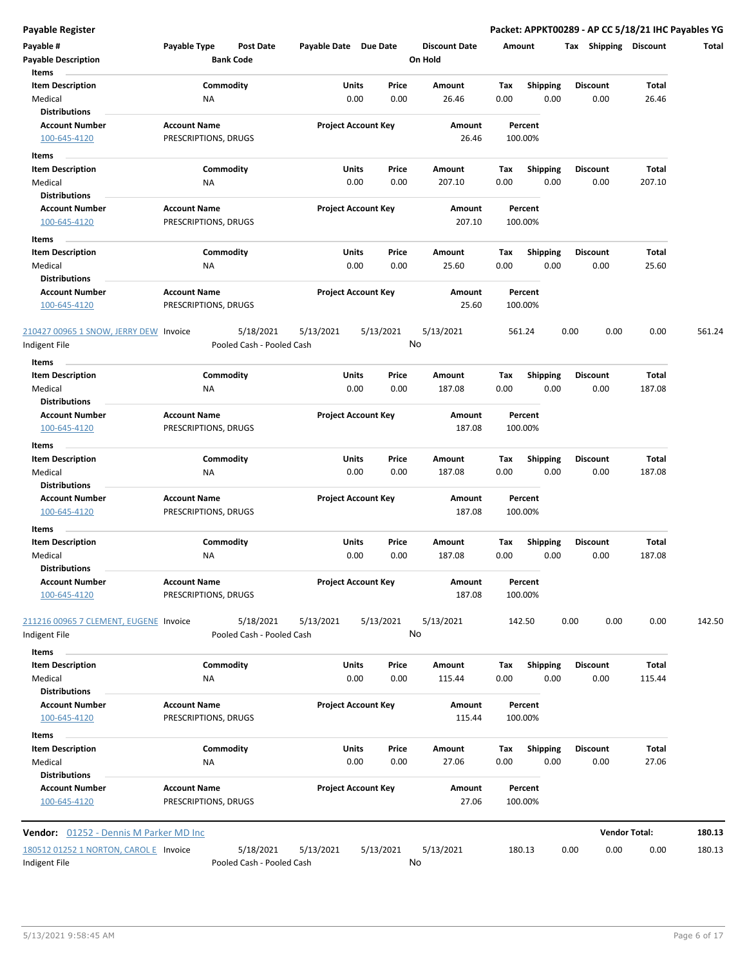| Payable #<br><b>Payable Description</b>                 | Payable Type                                | Post Date<br><b>Bank Code</b>          | Payable Date Due Date |                            | <b>Discount Date</b><br>On Hold |             | Amount                  | Tax Shipping            | <b>Discount</b> | Total  |
|---------------------------------------------------------|---------------------------------------------|----------------------------------------|-----------------------|----------------------------|---------------------------------|-------------|-------------------------|-------------------------|-----------------|--------|
| Items                                                   |                                             |                                        |                       |                            |                                 |             |                         |                         |                 |        |
| <b>Item Description</b>                                 |                                             | Commodity                              | <b>Units</b>          | Price                      | Amount                          | Tax         | Shipping                | Discount                | Total           |        |
| Medical                                                 | NA                                          |                                        |                       | 0.00<br>0.00               | 26.46                           | 0.00        | 0.00                    | 0.00                    | 26.46           |        |
| <b>Distributions</b>                                    |                                             |                                        |                       |                            |                                 |             |                         |                         |                 |        |
| <b>Account Number</b><br>100-645-4120                   | <b>Account Name</b><br>PRESCRIPTIONS, DRUGS |                                        |                       | <b>Project Account Key</b> | Amount<br>26.46                 |             | Percent<br>100.00%      |                         |                 |        |
| Items                                                   |                                             |                                        |                       |                            |                                 |             |                         |                         |                 |        |
| <b>Item Description</b>                                 |                                             | Commodity                              | Units                 | Price                      | Amount                          | Tax         | Shipping                | <b>Discount</b>         | Total           |        |
| Medical                                                 | NA                                          |                                        |                       | 0.00<br>0.00               | 207.10                          | 0.00        | 0.00                    | 0.00                    | 207.10          |        |
| <b>Distributions</b>                                    |                                             |                                        |                       |                            |                                 |             |                         |                         |                 |        |
| <b>Account Number</b><br>100-645-4120                   | <b>Account Name</b><br>PRESCRIPTIONS, DRUGS |                                        |                       | <b>Project Account Key</b> | Amount<br>207.10                |             | Percent<br>100.00%      |                         |                 |        |
|                                                         |                                             |                                        |                       |                            |                                 |             |                         |                         |                 |        |
| Items<br><b>Item Description</b>                        |                                             | Commodity                              | Units                 | Price                      | Amount                          | Tax         | Shipping                | <b>Discount</b>         | Total           |        |
| Medical                                                 | NA                                          |                                        |                       | 0.00<br>0.00               | 25.60                           | 0.00        | 0.00                    | 0.00                    | 25.60           |        |
| <b>Distributions</b>                                    |                                             |                                        |                       |                            |                                 |             |                         |                         |                 |        |
| <b>Account Number</b>                                   | <b>Account Name</b>                         |                                        |                       | <b>Project Account Key</b> | Amount                          |             | Percent                 |                         |                 |        |
| 100-645-4120                                            | PRESCRIPTIONS, DRUGS                        |                                        |                       |                            | 25.60                           |             | 100.00%                 |                         |                 |        |
| 210427 00965 1 SNOW, JERRY DEW Invoice<br>Indigent File |                                             | 5/18/2021<br>Pooled Cash - Pooled Cash | 5/13/2021             | 5/13/2021                  | 5/13/2021<br>No                 |             | 561.24                  | 0.00<br>0.00            | 0.00            | 561.24 |
| Items                                                   |                                             |                                        |                       |                            |                                 |             |                         |                         |                 |        |
| <b>Item Description</b>                                 |                                             | Commodity                              | Units                 | Price                      | Amount                          | Tax         | Shipping                | <b>Discount</b>         | Total           |        |
| Medical                                                 | NA                                          |                                        |                       | 0.00<br>0.00               | 187.08                          | 0.00        | 0.00                    | 0.00                    | 187.08          |        |
| <b>Distributions</b>                                    |                                             |                                        |                       |                            |                                 |             |                         |                         |                 |        |
| <b>Account Number</b>                                   | <b>Account Name</b>                         |                                        |                       | <b>Project Account Key</b> | Amount                          |             | Percent                 |                         |                 |        |
| 100-645-4120                                            | PRESCRIPTIONS, DRUGS                        |                                        |                       |                            | 187.08                          |             | 100.00%                 |                         |                 |        |
| Items                                                   |                                             |                                        |                       |                            |                                 |             |                         |                         |                 |        |
| <b>Item Description</b>                                 |                                             | Commodity                              | Units                 | Price                      | Amount                          | Tax         | <b>Shipping</b>         | <b>Discount</b>         | Total           |        |
| Medical<br><b>Distributions</b>                         | NA                                          |                                        |                       | 0.00<br>0.00               | 187.08                          | 0.00        | 0.00                    | 0.00                    | 187.08          |        |
| <b>Account Number</b>                                   | <b>Account Name</b>                         |                                        |                       | <b>Project Account Key</b> | Amount                          |             | Percent                 |                         |                 |        |
| 100-645-4120                                            | PRESCRIPTIONS, DRUGS                        |                                        |                       |                            | 187.08                          |             | 100.00%                 |                         |                 |        |
| Items                                                   |                                             |                                        |                       |                            |                                 |             |                         |                         |                 |        |
| <b>Item Description</b>                                 | NA                                          | Commodity                              | Units                 | Price<br>0.00<br>0.00      | Amount<br>187.08                | Tax<br>0.00 | <b>Shipping</b><br>0.00 | Discount<br>0.00        | Total<br>187.08 |        |
| Medical<br><b>Distributions</b>                         |                                             |                                        |                       |                            |                                 |             |                         |                         |                 |        |
| <b>Account Number</b>                                   | <b>Account Name</b>                         |                                        |                       | <b>Project Account Key</b> | Amount                          |             | Percent                 |                         |                 |        |
| 100-645-4120                                            | PRESCRIPTIONS, DRUGS                        |                                        |                       |                            | 187.08                          |             | 100.00%                 |                         |                 |        |
| 211216 00965 7 CLEMENT, EUGENE Invoice<br>Indigent File |                                             | 5/18/2021<br>Pooled Cash - Pooled Cash | 5/13/2021             | 5/13/2021                  | 5/13/2021<br>No                 |             | 142.50                  | 0.00<br>0.00            | 0.00            | 142.50 |
| Items                                                   |                                             |                                        |                       |                            |                                 |             |                         |                         |                 |        |
| <b>Item Description</b><br>Medical                      | NA                                          | Commodity                              | <b>Units</b>          | Price<br>0.00<br>0.00      | Amount<br>115.44                | Tax<br>0.00 | Shipping<br>0.00        | <b>Discount</b><br>0.00 | Total<br>115.44 |        |
| <b>Distributions</b>                                    |                                             |                                        |                       |                            |                                 |             |                         |                         |                 |        |
| <b>Account Number</b>                                   | <b>Account Name</b>                         |                                        |                       | <b>Project Account Key</b> | Amount                          |             | Percent                 |                         |                 |        |
| 100-645-4120                                            | PRESCRIPTIONS, DRUGS                        |                                        |                       |                            | 115.44                          |             | 100.00%                 |                         |                 |        |
| Items<br><b>Item Description</b>                        |                                             | Commodity                              | Units                 | Price                      | Amount                          | Tax         | <b>Shipping</b>         | <b>Discount</b>         | Total           |        |
| Medical                                                 | NA                                          |                                        |                       | 0.00<br>0.00               | 27.06                           | 0.00        | 0.00                    | 0.00                    | 27.06           |        |
| <b>Distributions</b>                                    |                                             |                                        |                       |                            |                                 |             |                         |                         |                 |        |
| <b>Account Number</b>                                   | <b>Account Name</b>                         |                                        |                       | <b>Project Account Key</b> | Amount                          |             | Percent                 |                         |                 |        |
| 100-645-4120                                            | PRESCRIPTIONS, DRUGS                        |                                        |                       |                            | 27.06                           |             | 100.00%                 |                         |                 |        |
| Vendor: 01252 - Dennis M Parker MD Inc                  |                                             |                                        |                       |                            |                                 |             |                         | <b>Vendor Total:</b>    |                 | 180.13 |
| 180512 01252 1 NORTON, CAROL E Invoice<br>Indigent File |                                             | 5/18/2021<br>Pooled Cash - Pooled Cash | 5/13/2021             | 5/13/2021                  | 5/13/2021<br>No                 |             | 180.13                  | 0.00<br>0.00            | 0.00            | 180.13 |

 $\overline{a}$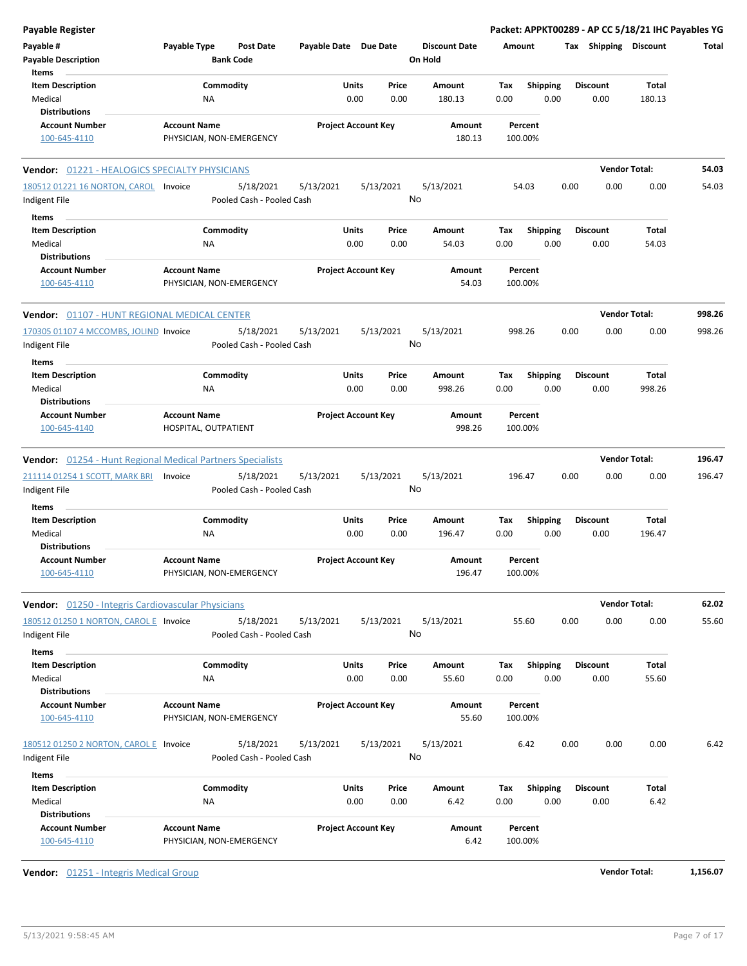| <b>Payable Register</b>                                           |                                                      |                            |                 |                                 |                        |                       |                      | Packet: APPKT00289 - AP CC 5/18/21 IHC Payables YG |
|-------------------------------------------------------------------|------------------------------------------------------|----------------------------|-----------------|---------------------------------|------------------------|-----------------------|----------------------|----------------------------------------------------|
| Payable #<br><b>Payable Description</b>                           | Payable Type<br><b>Post Date</b><br><b>Bank Code</b> | Payable Date Due Date      |                 | <b>Discount Date</b><br>On Hold | Amount                 | Tax Shipping Discount |                      | Total                                              |
| Items                                                             |                                                      |                            |                 |                                 |                        |                       |                      |                                                    |
| <b>Item Description</b>                                           | Commodity                                            | Units                      | Price           | Amount                          | Tax<br><b>Shipping</b> | <b>Discount</b>       | Total                |                                                    |
| Medical                                                           | NA                                                   | 0.00                       | 0.00            | 180.13                          | 0.00<br>0.00           | 0.00                  | 180.13               |                                                    |
| <b>Distributions</b>                                              |                                                      |                            |                 |                                 |                        |                       |                      |                                                    |
| <b>Account Number</b>                                             | <b>Account Name</b>                                  | <b>Project Account Key</b> |                 | Amount                          | Percent                |                       |                      |                                                    |
| 100-645-4110                                                      | PHYSICIAN, NON-EMERGENCY                             |                            |                 | 180.13                          | 100.00%                |                       |                      |                                                    |
| <b>Vendor: 01221 - HEALOGICS SPECIALTY PHYSICIANS</b>             |                                                      |                            |                 |                                 |                        |                       | <b>Vendor Total:</b> | 54.03                                              |
| 180512 01221 16 NORTON, CAROL Invoice                             | 5/18/2021                                            | 5/13/2021                  | 5/13/2021       | 5/13/2021                       | 54.03                  | 0.00<br>0.00          | 0.00                 | 54.03                                              |
| Indigent File                                                     | Pooled Cash - Pooled Cash                            |                            | No              |                                 |                        |                       |                      |                                                    |
| Items                                                             |                                                      |                            |                 |                                 |                        |                       |                      |                                                    |
| <b>Item Description</b>                                           | Commodity                                            | Units                      | Price           | Amount                          | <b>Shipping</b><br>Tax | <b>Discount</b>       | Total                |                                                    |
| Medical                                                           | ΝA                                                   | 0.00                       | 0.00            | 54.03                           | 0.00<br>0.00           | 0.00                  | 54.03                |                                                    |
| <b>Distributions</b>                                              |                                                      |                            |                 |                                 |                        |                       |                      |                                                    |
| <b>Account Number</b><br>100-645-4110                             | <b>Account Name</b><br>PHYSICIAN, NON-EMERGENCY      | <b>Project Account Key</b> |                 | Amount<br>54.03                 | Percent<br>100.00%     |                       |                      |                                                    |
| Vendor: 01107 - HUNT REGIONAL MEDICAL CENTER                      |                                                      |                            |                 |                                 |                        |                       | <b>Vendor Total:</b> | 998.26                                             |
| 170305 01107 4 MCCOMBS, JOLIND Invoice                            | 5/18/2021                                            | 5/13/2021                  | 5/13/2021       | 5/13/2021                       | 998.26                 | 0.00<br>0.00          | 0.00                 | 998.26                                             |
| Indigent File                                                     | Pooled Cash - Pooled Cash                            |                            | No              |                                 |                        |                       |                      |                                                    |
| Items                                                             |                                                      |                            |                 |                                 |                        |                       |                      |                                                    |
| <b>Item Description</b>                                           | Commodity                                            | Units                      | Price           | Amount                          | <b>Shipping</b><br>Tax | <b>Discount</b>       | Total                |                                                    |
| Medical<br><b>Distributions</b>                                   | ΝA                                                   | 0.00                       | 0.00            | 998.26                          | 0.00<br>0.00           | 0.00                  | 998.26               |                                                    |
| <b>Account Number</b>                                             | <b>Account Name</b>                                  | <b>Project Account Key</b> |                 | Amount                          | Percent                |                       |                      |                                                    |
| 100-645-4140                                                      | HOSPITAL, OUTPATIENT                                 |                            |                 | 998.26                          | 100.00%                |                       |                      |                                                    |
| <b>Vendor:</b> 01254 - Hunt Regional Medical Partners Specialists |                                                      |                            |                 |                                 |                        |                       | <b>Vendor Total:</b> | 196.47                                             |
| 211114 01254 1 SCOTT, MARK BRI                                    | 5/18/2021<br>Invoice                                 | 5/13/2021                  | 5/13/2021       | 5/13/2021                       | 196.47                 | 0.00<br>0.00          | 0.00                 | 196.47                                             |
| Indigent File                                                     | Pooled Cash - Pooled Cash                            |                            | No              |                                 |                        |                       |                      |                                                    |
| Items                                                             |                                                      |                            |                 |                                 |                        |                       |                      |                                                    |
| <b>Item Description</b>                                           | Commodity                                            | Units                      | Price           | Amount                          | Shipping<br>Tax        | <b>Discount</b>       | Total                |                                                    |
| Medical                                                           | NA                                                   | 0.00                       | 0.00            | 196.47                          | 0.00<br>0.00           | 0.00                  | 196.47               |                                                    |
| <b>Distributions</b>                                              |                                                      |                            |                 |                                 |                        |                       |                      |                                                    |
| <b>Account Number</b>                                             | <b>Account Name</b>                                  | <b>Project Account Key</b> |                 | Amount                          | Percent                |                       |                      |                                                    |
| 100-645-4110                                                      | PHYSICIAN, NON-EMERGENCY                             |                            |                 | 196.47                          | 100.00%                |                       |                      |                                                    |
| <b>Vendor:</b> 01250 - Integris Cardiovascular Physicians         |                                                      |                            |                 |                                 |                        |                       | <b>Vendor Total:</b> | 62.02                                              |
| 180512 01250 1 NORTON, CAROL E Invoice<br>Indigent File           | 5/18/2021<br>Pooled Cash - Pooled Cash               | 5/13/2021                  | 5/13/2021<br>No | 5/13/2021                       | 55.60                  | 0.00<br>0.00          | 0.00                 | 55.60                                              |
| Items                                                             |                                                      |                            |                 |                                 |                        |                       |                      |                                                    |
| <b>Item Description</b>                                           | Commodity                                            | Units                      | Price           | Amount                          | <b>Shipping</b><br>Tax | <b>Discount</b>       | Total                |                                                    |
| Medical                                                           | ΝA                                                   | 0.00                       | 0.00            | 55.60                           | 0.00<br>0.00           | 0.00                  | 55.60                |                                                    |
| <b>Distributions</b>                                              |                                                      |                            |                 |                                 |                        |                       |                      |                                                    |
| <b>Account Number</b><br>100-645-4110                             | <b>Account Name</b><br>PHYSICIAN, NON-EMERGENCY      | <b>Project Account Key</b> |                 | <b>Amount</b><br>55.60          | Percent<br>100.00%     |                       |                      |                                                    |
| 180512 01250 2 NORTON, CAROL E Invoice                            | 5/18/2021                                            | 5/13/2021                  | 5/13/2021       | 5/13/2021                       | 6.42                   | 0.00<br>0.00          | 0.00                 | 6.42                                               |
| Indigent File                                                     | Pooled Cash - Pooled Cash                            |                            | No              |                                 |                        |                       |                      |                                                    |
| Items                                                             |                                                      |                            |                 |                                 |                        |                       |                      |                                                    |
| <b>Item Description</b>                                           | Commodity                                            | Units                      | Price           | Amount                          | Tax<br><b>Shipping</b> | <b>Discount</b>       | Total                |                                                    |
|                                                                   |                                                      | 0.00                       |                 |                                 | 0.00<br>0.00           | 0.00                  |                      |                                                    |
| Medical                                                           | NA                                                   |                            | 0.00            | 6.42                            |                        |                       | 6.42                 |                                                    |
| <b>Distributions</b>                                              |                                                      |                            |                 |                                 |                        |                       |                      |                                                    |

**Vendor:** 01251 - Integris Medical Group **Vendor Total: 1,156.07**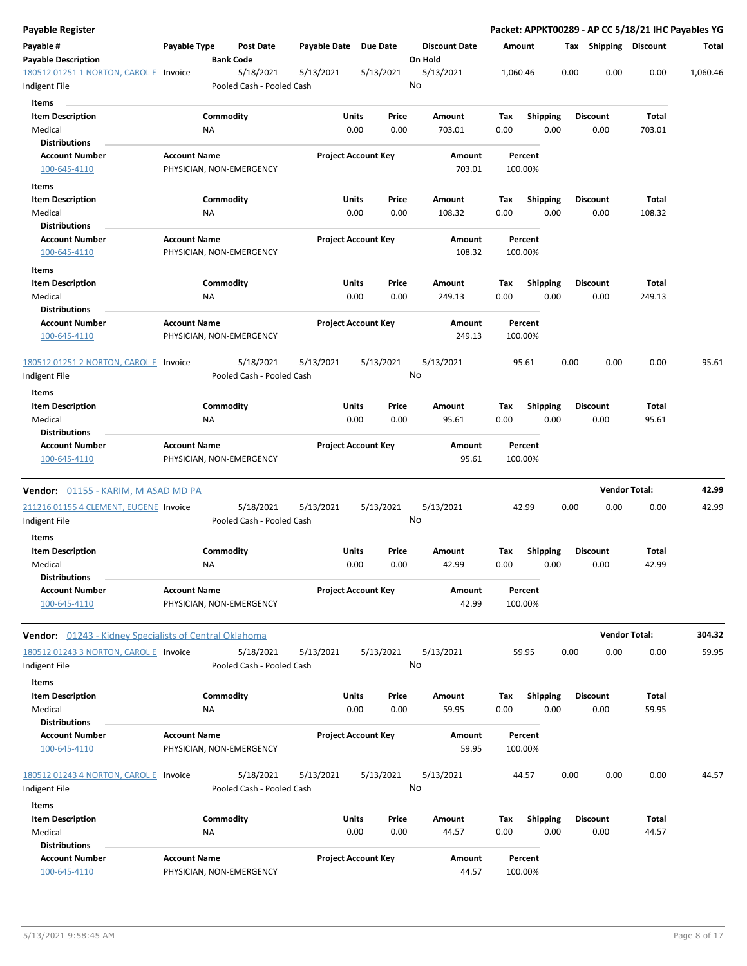| Payable Register                                           |                                                 |                  |                                        |              |                            |               |                                 |             |                 |      |                         | Packet: APPKT00289 - AP CC 5/18/21 IHC Payables YG |          |
|------------------------------------------------------------|-------------------------------------------------|------------------|----------------------------------------|--------------|----------------------------|---------------|---------------------------------|-------------|-----------------|------|-------------------------|----------------------------------------------------|----------|
| Payable #<br><b>Payable Description</b>                    | Payable Type                                    | <b>Bank Code</b> | Post Date                              | Payable Date | <b>Due Date</b>            |               | <b>Discount Date</b><br>On Hold | Amount      |                 |      | Tax Shipping Discount   |                                                    | Total    |
| 180512 01251 1 NORTON, CAROL E Invoice<br>Indigent File    |                                                 |                  | 5/18/2021<br>Pooled Cash - Pooled Cash | 5/13/2021    | 5/13/2021                  |               | 5/13/2021<br>No                 | 1,060.46    |                 | 0.00 | 0.00                    | 0.00                                               | 1,060.46 |
| Items                                                      |                                                 |                  |                                        |              |                            |               |                                 |             |                 |      |                         |                                                    |          |
| <b>Item Description</b><br>Medical                         |                                                 | Commodity<br>ΝA  |                                        |              | Units<br>0.00              | Price<br>0.00 | Amount<br>703.01                | Tax<br>0.00 | <b>Shipping</b> | 0.00 | <b>Discount</b><br>0.00 | Total<br>703.01                                    |          |
| <b>Distributions</b>                                       |                                                 |                  |                                        |              |                            |               |                                 |             |                 |      |                         |                                                    |          |
| <b>Account Number</b><br>100-645-4110                      | <b>Account Name</b><br>PHYSICIAN, NON-EMERGENCY |                  |                                        |              | <b>Project Account Key</b> |               | Amount<br>703.01                | 100.00%     | Percent         |      |                         |                                                    |          |
| Items                                                      |                                                 |                  |                                        |              |                            |               |                                 |             |                 |      |                         |                                                    |          |
| <b>Item Description</b>                                    |                                                 | Commodity        |                                        |              | Units                      | Price         | Amount                          | Tax         | Shipping        |      | <b>Discount</b>         | Total                                              |          |
| Medical<br><b>Distributions</b>                            |                                                 | ΝA               |                                        |              | 0.00                       | 0.00          | 108.32                          | 0.00        |                 | 0.00 | 0.00                    | 108.32                                             |          |
| <b>Account Number</b>                                      | <b>Account Name</b>                             |                  |                                        |              | <b>Project Account Key</b> |               | Amount                          |             | Percent         |      |                         |                                                    |          |
| 100-645-4110                                               | PHYSICIAN, NON-EMERGENCY                        |                  |                                        |              |                            |               | 108.32                          | 100.00%     |                 |      |                         |                                                    |          |
| Items                                                      |                                                 |                  |                                        |              |                            |               |                                 |             |                 |      |                         |                                                    |          |
| <b>Item Description</b><br>Medical<br>Distributions        |                                                 | Commodity<br>ΝA  |                                        |              | Units<br>0.00              | Price<br>0.00 | Amount<br>249.13                | Tax<br>0.00 | <b>Shipping</b> | 0.00 | <b>Discount</b><br>0.00 | Total<br>249.13                                    |          |
| <b>Account Number</b><br>100-645-4110                      | <b>Account Name</b><br>PHYSICIAN, NON-EMERGENCY |                  |                                        |              | <b>Project Account Key</b> |               | Amount<br>249.13                | 100.00%     | Percent         |      |                         |                                                    |          |
| 180512 01251 2 NORTON, CAROL E Invoice                     |                                                 |                  | 5/18/2021                              | 5/13/2021    | 5/13/2021                  |               | 5/13/2021                       |             | 95.61           | 0.00 | 0.00                    | 0.00                                               | 95.61    |
| Indigent File                                              |                                                 |                  | Pooled Cash - Pooled Cash              |              |                            |               | No                              |             |                 |      |                         |                                                    |          |
| Items                                                      |                                                 |                  |                                        |              |                            |               |                                 |             |                 |      |                         |                                                    |          |
| <b>Item Description</b>                                    |                                                 | Commodity        |                                        |              | Units                      | Price         | Amount                          | Tax         | <b>Shipping</b> |      | <b>Discount</b>         | Total                                              |          |
| Medical                                                    |                                                 | ΝA               |                                        |              | 0.00                       | 0.00          | 95.61                           | 0.00        |                 | 0.00 | 0.00                    | 95.61                                              |          |
| <b>Distributions</b>                                       |                                                 |                  |                                        |              |                            |               |                                 |             |                 |      |                         |                                                    |          |
| <b>Account Number</b><br>100-645-4110                      | <b>Account Name</b>                             |                  | PHYSICIAN, NON-EMERGENCY               |              | <b>Project Account Key</b> |               | Amount<br>95.61                 | 100.00%     | Percent         |      |                         |                                                    |          |
| Vendor: 01155 - KARIM, M ASAD MD PA                        |                                                 |                  |                                        |              |                            |               |                                 |             |                 |      |                         | <b>Vendor Total:</b>                               | 42.99    |
| 211216 01155 4 CLEMENT, EUGENE Invoice<br>Indigent File    |                                                 |                  | 5/18/2021<br>Pooled Cash - Pooled Cash | 5/13/2021    | 5/13/2021                  |               | 5/13/2021<br>No                 |             | 42.99           | 0.00 | 0.00                    | 0.00                                               | 42.99    |
| Items                                                      |                                                 |                  |                                        |              |                            |               |                                 |             |                 |      |                         |                                                    |          |
| <b>Item Description</b><br>Medical<br><b>Distributions</b> |                                                 | Commodity<br>ΝA  |                                        |              | <b>Units</b><br>0.00       | Price<br>0.00 | Amount<br>42.99                 | Tax<br>0.00 | <b>Shipping</b> | 0.00 | <b>Discount</b><br>0.00 | Total<br>42.99                                     |          |
| <b>Account Number</b>                                      | <b>Account Name</b>                             |                  |                                        |              | <b>Project Account Key</b> |               | Amount                          |             | Percent         |      |                         |                                                    |          |
| 100-645-4110                                               | PHYSICIAN, NON-EMERGENCY                        |                  |                                        |              |                            |               | 42.99                           | 100.00%     |                 |      |                         |                                                    |          |
| Vendor: 01243 - Kidney Specialists of Central Oklahoma     |                                                 |                  |                                        |              |                            |               |                                 |             |                 |      | <b>Vendor Total:</b>    |                                                    | 304.32   |
| 180512 01243 3 NORTON, CAROL E Invoice<br>Indigent File    |                                                 |                  | 5/18/2021<br>Pooled Cash - Pooled Cash | 5/13/2021    | 5/13/2021                  |               | 5/13/2021<br>No                 |             | 59.95           | 0.00 | 0.00                    | 0.00                                               | 59.95    |
| Items                                                      |                                                 |                  |                                        |              |                            |               |                                 |             |                 |      |                         |                                                    |          |
| <b>Item Description</b>                                    |                                                 | Commodity        |                                        |              | Units                      | Price         | Amount                          | Tax         | <b>Shipping</b> |      | <b>Discount</b>         | Total                                              |          |
| Medical<br><b>Distributions</b>                            |                                                 | NA               |                                        |              | 0.00                       | 0.00          | 59.95                           | 0.00        |                 | 0.00 | 0.00                    | 59.95                                              |          |
| <b>Account Number</b>                                      | <b>Account Name</b>                             |                  |                                        |              | <b>Project Account Key</b> |               | Amount                          |             | Percent         |      |                         |                                                    |          |
| 100-645-4110                                               | PHYSICIAN, NON-EMERGENCY                        |                  |                                        |              |                            |               | 59.95                           | 100.00%     |                 |      |                         |                                                    |          |
| 180512 01243 4 NORTON, CAROL E Invoice                     |                                                 |                  | 5/18/2021                              | 5/13/2021    | 5/13/2021                  |               | 5/13/2021                       |             | 44.57           | 0.00 | 0.00                    | 0.00                                               | 44.57    |
| Indigent File                                              |                                                 |                  | Pooled Cash - Pooled Cash              |              |                            |               | No                              |             |                 |      |                         |                                                    |          |
| Items                                                      |                                                 |                  |                                        |              |                            |               |                                 |             |                 |      |                         |                                                    |          |
| <b>Item Description</b>                                    |                                                 | Commodity        |                                        |              | Units                      | Price         | Amount                          | Tax         | <b>Shipping</b> |      | <b>Discount</b>         | Total                                              |          |
| Medical<br><b>Distributions</b>                            |                                                 | ΝA               |                                        |              | 0.00                       | 0.00          | 44.57                           | 0.00        |                 | 0.00 | 0.00                    | 44.57                                              |          |
| <b>Account Number</b><br>100-645-4110                      | <b>Account Name</b><br>PHYSICIAN, NON-EMERGENCY |                  |                                        |              | <b>Project Account Key</b> |               | Amount<br>44.57                 | 100.00%     | Percent         |      |                         |                                                    |          |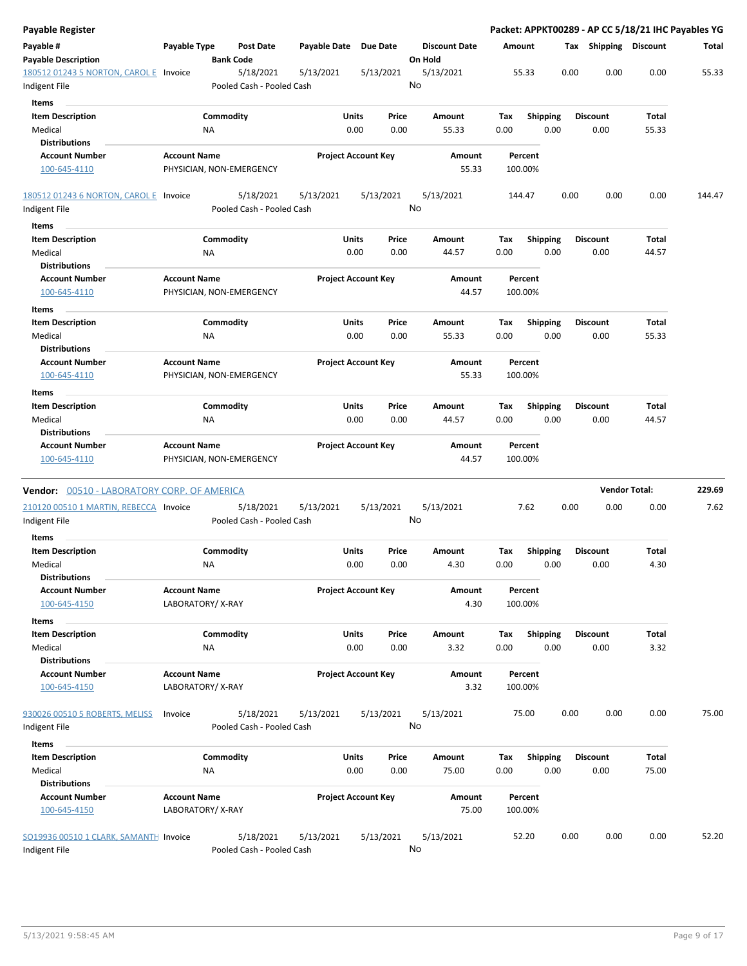| Payable Register                                        |                                                 |                                        |                            |          |           |                                 |        |                    |      |                 | Packet: APPKT00289 - AP CC 5/18/21 IHC Payables YG |        |
|---------------------------------------------------------|-------------------------------------------------|----------------------------------------|----------------------------|----------|-----------|---------------------------------|--------|--------------------|------|-----------------|----------------------------------------------------|--------|
| Payable #<br><b>Payable Description</b>                 | Payable Type                                    | <b>Post Date</b><br><b>Bank Code</b>   | Payable Date               | Due Date |           | <b>Discount Date</b><br>On Hold | Amount |                    | Tax  |                 | Shipping Discount                                  | Total  |
| 180512 01243 5 NORTON, CAROL E Invoice<br>Indigent File |                                                 | 5/18/2021<br>Pooled Cash - Pooled Cash | 5/13/2021                  |          | 5/13/2021 | 5/13/2021<br>No                 |        | 55.33              | 0.00 | 0.00            | 0.00                                               | 55.33  |
| Items                                                   |                                                 |                                        |                            |          |           |                                 |        |                    |      |                 |                                                    |        |
| <b>Item Description</b>                                 |                                                 | Commodity                              |                            | Units    | Price     | Amount                          | Tax    | <b>Shipping</b>    |      | <b>Discount</b> | Total                                              |        |
| Medical                                                 | NA                                              |                                        |                            | 0.00     | 0.00      | 55.33                           | 0.00   | 0.00               |      | 0.00            | 55.33                                              |        |
| <b>Distributions</b>                                    |                                                 |                                        |                            |          |           |                                 |        |                    |      |                 |                                                    |        |
| <b>Account Number</b>                                   | <b>Account Name</b>                             |                                        | <b>Project Account Key</b> |          |           | Amount                          |        | Percent            |      |                 |                                                    |        |
| 100-645-4110                                            | PHYSICIAN, NON-EMERGENCY                        |                                        |                            |          |           | 55.33                           |        | 100.00%            |      |                 |                                                    |        |
| 180512 01243 6 NORTON, CAROL E Invoice<br>Indigent File |                                                 | 5/18/2021<br>Pooled Cash - Pooled Cash | 5/13/2021                  |          | 5/13/2021 | 5/13/2021<br>No                 |        | 144.47             | 0.00 | 0.00            | 0.00                                               | 144.47 |
| <b>Items</b>                                            |                                                 |                                        |                            |          |           |                                 |        |                    |      |                 |                                                    |        |
| <b>Item Description</b>                                 |                                                 | Commodity                              |                            | Units    | Price     | Amount                          | Tax    | <b>Shipping</b>    |      | <b>Discount</b> | Total                                              |        |
| Medical                                                 | ΝA                                              |                                        |                            | 0.00     | 0.00      | 44.57                           | 0.00   | 0.00               |      | 0.00            | 44.57                                              |        |
| <b>Distributions</b>                                    |                                                 |                                        |                            |          |           |                                 |        |                    |      |                 |                                                    |        |
| <b>Account Number</b><br>100-645-4110                   | <b>Account Name</b><br>PHYSICIAN, NON-EMERGENCY |                                        | <b>Project Account Key</b> |          |           | Amount<br>44.57                 |        | Percent<br>100.00% |      |                 |                                                    |        |
| Items                                                   |                                                 |                                        |                            |          |           |                                 |        |                    |      |                 |                                                    |        |
| <b>Item Description</b>                                 |                                                 | Commodity                              |                            | Units    | Price     | Amount                          | Tax    | Shipping           |      | <b>Discount</b> | Total                                              |        |
| Medical                                                 | ΝA                                              |                                        |                            | 0.00     | 0.00      | 55.33                           | 0.00   | 0.00               |      | 0.00            | 55.33                                              |        |
| <b>Distributions</b>                                    |                                                 |                                        |                            |          |           |                                 |        |                    |      |                 |                                                    |        |
| <b>Account Number</b>                                   | <b>Account Name</b>                             |                                        | <b>Project Account Key</b> |          |           | Amount                          |        | Percent            |      |                 |                                                    |        |
| 100-645-4110                                            | PHYSICIAN, NON-EMERGENCY                        |                                        |                            |          |           | 55.33                           |        | 100.00%            |      |                 |                                                    |        |
| Items                                                   |                                                 |                                        |                            |          |           |                                 |        |                    |      |                 |                                                    |        |
| <b>Item Description</b>                                 |                                                 | Commodity                              |                            | Units    | Price     | Amount                          | Tax    | Shipping           |      | <b>Discount</b> | Total                                              |        |
| Medical                                                 | ΝA                                              |                                        |                            | 0.00     | 0.00      | 44.57                           | 0.00   | 0.00               |      | 0.00            | 44.57                                              |        |
| <b>Distributions</b>                                    |                                                 |                                        |                            |          |           |                                 |        |                    |      |                 |                                                    |        |
| <b>Account Number</b>                                   | <b>Account Name</b>                             |                                        | <b>Project Account Key</b> |          |           | Amount                          |        | Percent            |      |                 |                                                    |        |
| 100-645-4110                                            | PHYSICIAN, NON-EMERGENCY                        |                                        |                            |          |           | 44.57                           |        | 100.00%            |      |                 |                                                    |        |
| Vendor: 00510 - LABORATORY CORP. OF AMERICA             |                                                 |                                        |                            |          |           |                                 |        |                    |      |                 | <b>Vendor Total:</b>                               | 229.69 |
| 210120 00510 1 MARTIN, REBECCA Invoice                  |                                                 | 5/18/2021                              | 5/13/2021                  |          | 5/13/2021 | 5/13/2021                       |        | 7.62               | 0.00 | 0.00            | 0.00                                               | 7.62   |
| Indigent File                                           |                                                 | Pooled Cash - Pooled Cash              |                            |          |           | No                              |        |                    |      |                 |                                                    |        |
| Items                                                   |                                                 |                                        |                            |          |           |                                 |        |                    |      |                 |                                                    |        |
| <b>Item Description</b>                                 |                                                 | Commodity                              |                            | Units    | Price     | Amount                          | Tax    | <b>Shipping</b>    |      | <b>Discount</b> | Total                                              |        |
| Medical                                                 | ΝA                                              |                                        |                            | 0.00     | 0.00      | 4.30                            | 0.00   | 0.00               |      | 0.00            | 4.30                                               |        |
| <b>Distributions</b>                                    |                                                 |                                        |                            |          |           |                                 |        |                    |      |                 |                                                    |        |
| <b>Account Number</b>                                   | <b>Account Name</b>                             |                                        | <b>Project Account Key</b> |          |           | Amount                          |        | Percent            |      |                 |                                                    |        |
| 100-645-4150                                            | LABORATORY/X-RAY                                |                                        |                            |          |           | 4.30                            |        | 100.00%            |      |                 |                                                    |        |
|                                                         |                                                 |                                        |                            |          |           |                                 |        |                    |      |                 |                                                    |        |
| Items                                                   |                                                 |                                        |                            |          |           |                                 |        |                    |      |                 |                                                    |        |
| <b>Item Description</b>                                 |                                                 | Commodity                              |                            | Units    | Price     | Amount                          | Tax    | <b>Shipping</b>    |      | <b>Discount</b> | Total                                              |        |
| Medical                                                 | NA                                              |                                        |                            | 0.00     | 0.00      | 3.32                            | 0.00   | 0.00               |      | 0.00            | 3.32                                               |        |
| <b>Distributions</b>                                    |                                                 |                                        |                            |          |           |                                 |        |                    |      |                 |                                                    |        |
| <b>Account Number</b><br>100-645-4150                   | <b>Account Name</b><br>LABORATORY/X-RAY         |                                        | <b>Project Account Key</b> |          |           | Amount<br>3.32                  |        | Percent<br>100.00% |      |                 |                                                    |        |
| 930026 00510 5 ROBERTS, MELISS                          | Invoice                                         | 5/18/2021                              | 5/13/2021                  |          | 5/13/2021 | 5/13/2021                       |        | 75.00              | 0.00 | 0.00            | 0.00                                               | 75.00  |
| Indigent File                                           |                                                 | Pooled Cash - Pooled Cash              |                            |          |           | No                              |        |                    |      |                 |                                                    |        |
|                                                         |                                                 |                                        |                            |          |           |                                 |        |                    |      |                 |                                                    |        |
| Items                                                   |                                                 |                                        |                            |          |           |                                 |        |                    |      |                 |                                                    |        |
| <b>Item Description</b>                                 |                                                 | Commodity                              |                            | Units    | Price     | Amount                          | Tax    | <b>Shipping</b>    |      | <b>Discount</b> | Total                                              |        |
| Medical                                                 | ΝA                                              |                                        |                            | 0.00     | 0.00      | 75.00                           | 0.00   | 0.00               |      | 0.00            | 75.00                                              |        |
| <b>Distributions</b>                                    |                                                 |                                        |                            |          |           |                                 |        |                    |      |                 |                                                    |        |
| <b>Account Number</b><br>100-645-4150                   | <b>Account Name</b><br>LABORATORY/X-RAY         |                                        | <b>Project Account Key</b> |          |           | Amount<br>75.00                 |        | Percent<br>100.00% |      |                 |                                                    |        |
| SO19936 00510 1 CLARK, SAMANTH Invoice<br>Indigent File |                                                 | 5/18/2021<br>Pooled Cash - Pooled Cash | 5/13/2021                  |          | 5/13/2021 | 5/13/2021<br>No                 |        | 52.20              | 0.00 | 0.00            | 0.00                                               | 52.20  |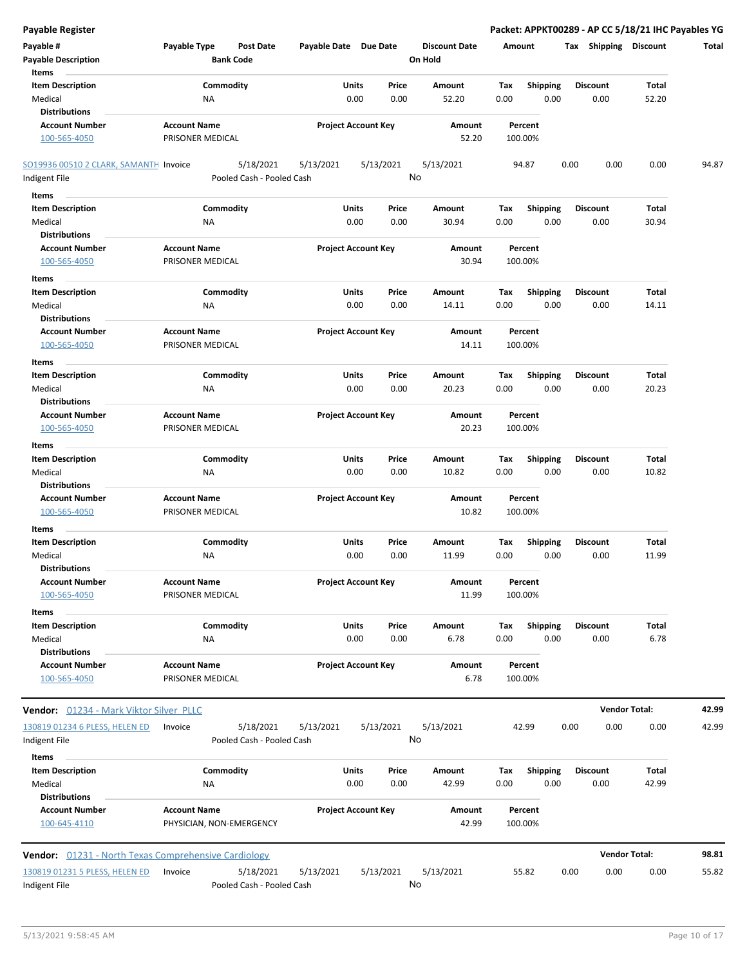| <b>Payable Register</b>                                       |                                                 |                                        |                       |                                |                                 |             |                         | Packet: APPKT00289 - AP CC 5/18/21 IHC Payables YG |                      |       |
|---------------------------------------------------------------|-------------------------------------------------|----------------------------------------|-----------------------|--------------------------------|---------------------------------|-------------|-------------------------|----------------------------------------------------|----------------------|-------|
| Payable #<br><b>Payable Description</b>                       | Payable Type                                    | <b>Post Date</b><br><b>Bank Code</b>   | Payable Date Due Date |                                | <b>Discount Date</b><br>On Hold |             | Amount                  | Tax Shipping Discount                              |                      | Total |
| Items<br><b>Item Description</b><br>Medical                   | Commodity<br>ΝA                                 |                                        | Units                 | Price<br>0.00<br>0.00          | Amount<br>52.20                 | Tax<br>0.00 | <b>Shipping</b><br>0.00 | <b>Discount</b><br>0.00                            | Total<br>52.20       |       |
| <b>Distributions</b><br><b>Account Number</b><br>100-565-4050 | <b>Account Name</b><br>PRISONER MEDICAL         |                                        |                       | <b>Project Account Key</b>     | Amount<br>52.20                 |             | Percent<br>100.00%      |                                                    |                      |       |
| SO19936 00510 2 CLARK, SAMANTH Invoice                        |                                                 | 5/18/2021                              | 5/13/2021             | 5/13/2021                      | 5/13/2021                       |             | 94.87                   | 0.00<br>0.00                                       | 0.00                 | 94.87 |
| Indigent File                                                 |                                                 | Pooled Cash - Pooled Cash              |                       |                                | No                              |             |                         |                                                    |                      |       |
| Items                                                         |                                                 |                                        |                       |                                |                                 |             |                         |                                                    |                      |       |
| <b>Item Description</b><br>Medical<br><b>Distributions</b>    | Commodity<br>ΝA                                 |                                        |                       | Units<br>Price<br>0.00<br>0.00 | Amount<br>30.94                 | Tax<br>0.00 | <b>Shipping</b><br>0.00 | <b>Discount</b><br>0.00                            | Total<br>30.94       |       |
| <b>Account Number</b><br>100-565-4050                         | <b>Account Name</b><br>PRISONER MEDICAL         |                                        |                       | <b>Project Account Key</b>     | Amount<br>30.94                 |             | Percent<br>100.00%      |                                                    |                      |       |
| Items                                                         |                                                 |                                        |                       |                                |                                 |             |                         |                                                    |                      |       |
| <b>Item Description</b>                                       | Commodity                                       |                                        |                       | Units<br>Price                 | Amount                          | Tax         | <b>Shipping</b>         | <b>Discount</b>                                    | Total                |       |
| Medical<br><b>Distributions</b>                               | ΝA                                              |                                        |                       | 0.00<br>0.00                   | 14.11                           | 0.00        | 0.00                    | 0.00                                               | 14.11                |       |
| <b>Account Number</b><br>100-565-4050                         | <b>Account Name</b><br>PRISONER MEDICAL         |                                        |                       | <b>Project Account Key</b>     | Amount<br>14.11                 |             | Percent<br>100.00%      |                                                    |                      |       |
| Items                                                         |                                                 |                                        |                       |                                |                                 |             |                         |                                                    |                      |       |
| <b>Item Description</b><br>Medical                            | Commodity<br>ΝA                                 |                                        | Units                 | Price<br>0.00<br>0.00          | Amount<br>20.23                 | Tax<br>0.00 | <b>Shipping</b><br>0.00 | <b>Discount</b><br>0.00                            | Total<br>20.23       |       |
| <b>Distributions</b><br><b>Account Number</b><br>100-565-4050 | <b>Account Name</b><br>PRISONER MEDICAL         |                                        |                       | <b>Project Account Key</b>     | Amount<br>20.23                 |             | Percent<br>100.00%      |                                                    |                      |       |
| Items                                                         |                                                 |                                        |                       |                                |                                 |             |                         |                                                    |                      |       |
| <b>Item Description</b><br>Medical<br><b>Distributions</b>    | Commodity<br>ΝA                                 |                                        | Units                 | Price<br>0.00<br>0.00          | Amount<br>10.82                 | Tax<br>0.00 | <b>Shipping</b><br>0.00 | <b>Discount</b><br>0.00                            | Total<br>10.82       |       |
| <b>Account Number</b><br>100-565-4050                         | <b>Account Name</b><br>PRISONER MEDICAL         |                                        |                       | <b>Project Account Key</b>     | Amount<br>10.82                 |             | Percent<br>100.00%      |                                                    |                      |       |
| Items                                                         |                                                 |                                        |                       |                                |                                 |             |                         |                                                    |                      |       |
| <b>Item Description</b><br>Medical<br><b>Distributions</b>    | Commodity<br>ΝA                                 |                                        |                       | Units<br>Price<br>0.00<br>0.00 | Amount<br>11.99                 | Tax<br>0.00 | <b>Shipping</b><br>0.00 | <b>Discount</b><br>0.00                            | Total<br>11.99       |       |
| <b>Account Number</b><br>100-565-4050                         | <b>Account Name</b><br>PRISONER MEDICAL         |                                        |                       | <b>Project Account Key</b>     | Amount<br>11.99                 |             | Percent<br>100.00%      |                                                    |                      |       |
| Items<br><b>Item Description</b><br>Medical                   | Commodity<br>NA                                 |                                        |                       | Units<br>Price<br>0.00<br>0.00 | Amount<br>6.78                  | Tax<br>0.00 | <b>Shipping</b><br>0.00 | <b>Discount</b><br>0.00                            | Total<br>6.78        |       |
| <b>Distributions</b><br><b>Account Number</b><br>100-565-4050 | <b>Account Name</b><br>PRISONER MEDICAL         |                                        |                       | <b>Project Account Key</b>     | Amount<br>6.78                  |             | Percent<br>100.00%      |                                                    |                      |       |
| Vendor: 01234 - Mark Viktor Silver PLLC                       |                                                 |                                        |                       |                                |                                 |             |                         |                                                    | <b>Vendor Total:</b> | 42.99 |
| 130819 01234 6 PLESS, HELEN ED<br>Indigent File               | Invoice                                         | 5/18/2021<br>Pooled Cash - Pooled Cash | 5/13/2021             | 5/13/2021                      | 5/13/2021<br>No                 |             | 42.99                   | 0.00<br>0.00                                       | 0.00                 | 42.99 |
| Items<br><b>Item Description</b><br>Medical                   | Commodity<br>NA                                 |                                        |                       | Units<br>Price<br>0.00<br>0.00 | Amount<br>42.99                 | Tax<br>0.00 | <b>Shipping</b><br>0.00 | <b>Discount</b><br>0.00                            | Total<br>42.99       |       |
| <b>Distributions</b><br><b>Account Number</b><br>100-645-4110 | <b>Account Name</b><br>PHYSICIAN, NON-EMERGENCY |                                        |                       | <b>Project Account Key</b>     | Amount<br>42.99                 |             | Percent<br>100.00%      |                                                    |                      |       |
| <b>Vendor:</b> 01231 - North Texas Comprehensive Cardiology   |                                                 |                                        |                       |                                |                                 |             |                         |                                                    | <b>Vendor Total:</b> | 98.81 |
| 130819 01231 5 PLESS, HELEN ED<br>Indigent File               | Invoice                                         | 5/18/2021<br>Pooled Cash - Pooled Cash | 5/13/2021             | 5/13/2021                      | 5/13/2021<br>No                 |             | 55.82                   | 0.00<br>0.00                                       | 0.00                 | 55.82 |

l.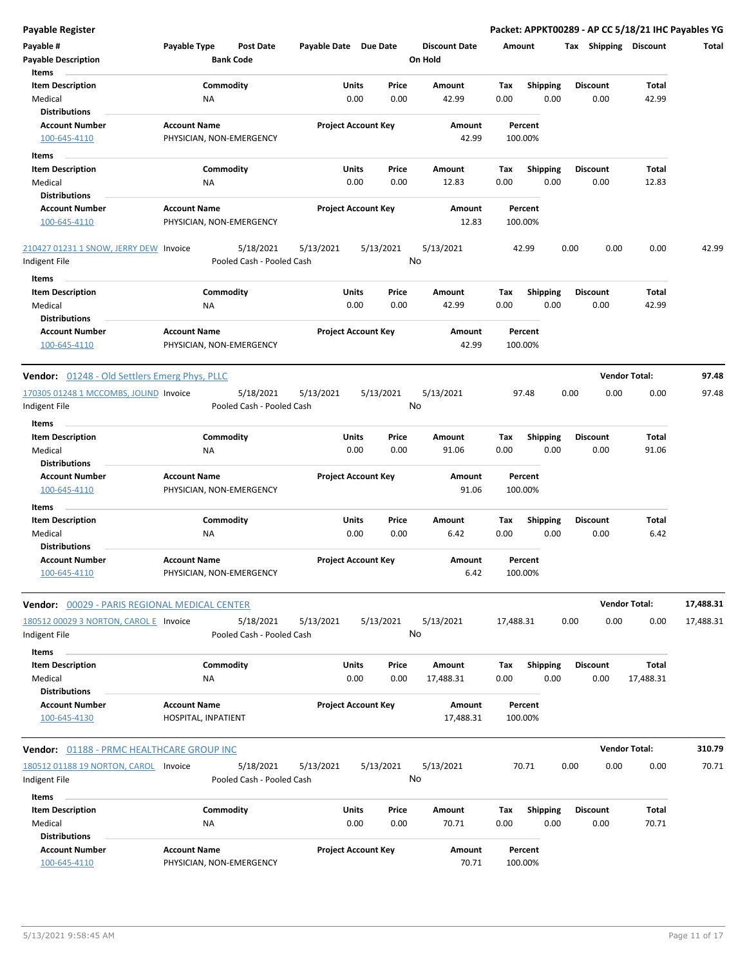| <b>Payable Register</b>                                    |                                                      |                       |                            |                                 | Packet: APPKT00289 - AP CC 5/18/21 IHC Payables YG |                         |                         |                      |           |
|------------------------------------------------------------|------------------------------------------------------|-----------------------|----------------------------|---------------------------------|----------------------------------------------------|-------------------------|-------------------------|----------------------|-----------|
| Payable #<br><b>Payable Description</b>                    | Payable Type<br><b>Post Date</b><br><b>Bank Code</b> | Payable Date Due Date |                            | <b>Discount Date</b><br>On Hold | Amount                                             |                         | Tax Shipping Discount   |                      | Total     |
| Items                                                      |                                                      |                       |                            |                                 |                                                    |                         |                         |                      |           |
| <b>Item Description</b><br>Medical                         | Commodity<br>ΝA                                      | Units                 | Price<br>0.00<br>0.00      | Amount<br>42.99                 | Tax<br>0.00                                        | <b>Shipping</b><br>0.00 | <b>Discount</b><br>0.00 | Total<br>42.99       |           |
| <b>Distributions</b>                                       |                                                      |                       |                            |                                 |                                                    |                         |                         |                      |           |
| <b>Account Number</b><br>100-645-4110                      | <b>Account Name</b><br>PHYSICIAN, NON-EMERGENCY      |                       | <b>Project Account Key</b> | Amount<br>42.99                 | Percent<br>100.00%                                 |                         |                         |                      |           |
| Items                                                      |                                                      |                       |                            |                                 |                                                    |                         |                         |                      |           |
| <b>Item Description</b>                                    | Commodity                                            | Units                 | Price                      | Amount                          | Tax                                                | <b>Shipping</b>         | Discount                | Total                |           |
| Medical                                                    | NA                                                   |                       | 0.00<br>0.00               | 12.83                           | 0.00                                               | 0.00                    | 0.00                    | 12.83                |           |
| <b>Distributions</b>                                       |                                                      |                       |                            |                                 |                                                    |                         |                         |                      |           |
| <b>Account Number</b><br>100-645-4110                      | <b>Account Name</b><br>PHYSICIAN, NON-EMERGENCY      |                       | <b>Project Account Key</b> | Amount<br>12.83                 | Percent<br>100.00%                                 |                         |                         |                      |           |
| 210427 01231 1 SNOW, JERRY DEW Invoice<br>Indigent File    | 5/18/2021<br>Pooled Cash - Pooled Cash               | 5/13/2021             | 5/13/2021                  | 5/13/2021<br>No                 | 42.99                                              | 0.00                    | 0.00                    | 0.00                 | 42.99     |
| Items                                                      |                                                      |                       |                            |                                 |                                                    |                         |                         |                      |           |
| <b>Item Description</b><br>Medical                         | Commodity<br>ΝA                                      | Units                 | Price<br>0.00<br>0.00      | Amount<br>42.99                 | Tax<br>0.00                                        | Shipping<br>0.00        | <b>Discount</b><br>0.00 | Total<br>42.99       |           |
| <b>Distributions</b>                                       |                                                      |                       |                            |                                 |                                                    |                         |                         |                      |           |
| <b>Account Number</b><br>100-645-4110                      | <b>Account Name</b><br>PHYSICIAN, NON-EMERGENCY      |                       | <b>Project Account Key</b> | Amount<br>42.99                 | Percent<br>100.00%                                 |                         |                         |                      |           |
| Vendor: 01248 - Old Settlers Emerg Phys, PLLC              |                                                      |                       |                            |                                 |                                                    |                         |                         | <b>Vendor Total:</b> | 97.48     |
| 170305 01248 1 MCCOMBS, JOLIND Invoice                     | 5/18/2021                                            | 5/13/2021             | 5/13/2021                  | 5/13/2021                       | 97.48                                              | 0.00                    | 0.00                    | 0.00                 | 97.48     |
| Indigent File                                              | Pooled Cash - Pooled Cash                            |                       |                            | No                              |                                                    |                         |                         |                      |           |
| Items                                                      |                                                      |                       |                            |                                 |                                                    |                         |                         |                      |           |
| <b>Item Description</b><br>Medical                         | Commodity<br>ΝA                                      | Units                 | Price<br>0.00<br>0.00      | Amount<br>91.06                 | Tax<br>0.00                                        | <b>Shipping</b><br>0.00 | <b>Discount</b><br>0.00 | Total<br>91.06       |           |
| <b>Distributions</b>                                       |                                                      |                       |                            |                                 |                                                    |                         |                         |                      |           |
| <b>Account Number</b><br>100-645-4110                      | <b>Account Name</b><br>PHYSICIAN, NON-EMERGENCY      |                       | <b>Project Account Key</b> | Amount<br>91.06                 | Percent<br>100.00%                                 |                         |                         |                      |           |
|                                                            |                                                      |                       |                            |                                 |                                                    |                         |                         |                      |           |
| Items                                                      |                                                      |                       |                            |                                 |                                                    |                         |                         |                      |           |
| <b>Item Description</b><br>Medical<br><b>Distributions</b> | Commodity<br>ΝA                                      | Units                 | Price<br>0.00<br>0.00      | Amount<br>6.42                  | Tax<br>0.00                                        | <b>Shipping</b><br>0.00 | <b>Discount</b><br>0.00 | Total<br>6.42        |           |
| <b>Account Number</b><br><u>100-645-4110</u>               | <b>Account Name</b><br>PHYSICIAN, NON-EMERGENCY      |                       | <b>Project Account Key</b> | Amount<br>6.42                  | Percent<br>100.00%                                 |                         |                         |                      |           |
| Vendor: 00029 - PARIS REGIONAL MEDICAL CENTER              |                                                      |                       |                            |                                 |                                                    |                         |                         | <b>Vendor Total:</b> | 17,488.31 |
| 180512 00029 3 NORTON, CAROL E Invoice<br>Indigent File    | 5/18/2021<br>Pooled Cash - Pooled Cash               | 5/13/2021             | 5/13/2021                  | 5/13/2021<br>No                 | 17,488.31                                          | 0.00                    | 0.00                    | 0.00                 | 17,488.31 |
| Items                                                      |                                                      |                       |                            |                                 |                                                    |                         |                         |                      |           |
| <b>Item Description</b><br>Medical<br><b>Distributions</b> | Commodity<br>ΝA                                      | <b>Units</b>          | Price<br>0.00<br>0.00      | Amount<br>17,488.31             | Tax<br>0.00                                        | Shipping<br>0.00        | <b>Discount</b><br>0.00 | Total<br>17,488.31   |           |
| <b>Account Number</b><br>100-645-4130                      | <b>Account Name</b><br>HOSPITAL, INPATIENT           |                       | <b>Project Account Key</b> | Amount<br>17,488.31             | Percent<br>100.00%                                 |                         |                         |                      |           |
| Vendor: 01188 - PRMC HEALTHCARE GROUP INC                  |                                                      |                       |                            |                                 |                                                    |                         |                         | <b>Vendor Total:</b> | 310.79    |
|                                                            |                                                      |                       |                            |                                 |                                                    |                         |                         |                      |           |
| 180512 01188 19 NORTON, CAROL Invoice<br>Indigent File     | 5/18/2021<br>Pooled Cash - Pooled Cash               | 5/13/2021             | 5/13/2021                  | 5/13/2021<br>No                 | 70.71                                              | 0.00                    | 0.00                    | 0.00                 | 70.71     |
| Items                                                      |                                                      |                       |                            |                                 |                                                    |                         |                         |                      |           |
| <b>Item Description</b><br>Medical                         | Commodity<br><b>NA</b>                               | Units                 | Price<br>0.00<br>0.00      | Amount<br>70.71                 | Tax<br>0.00                                        | Shipping<br>0.00        | <b>Discount</b><br>0.00 | Total<br>70.71       |           |
| <b>Distributions</b><br><b>Account Number</b>              | <b>Account Name</b>                                  |                       | <b>Project Account Key</b> |                                 | Percent                                            |                         |                         |                      |           |
| 100-645-4110                                               | PHYSICIAN, NON-EMERGENCY                             |                       |                            | Amount<br>70.71                 | 100.00%                                            |                         |                         |                      |           |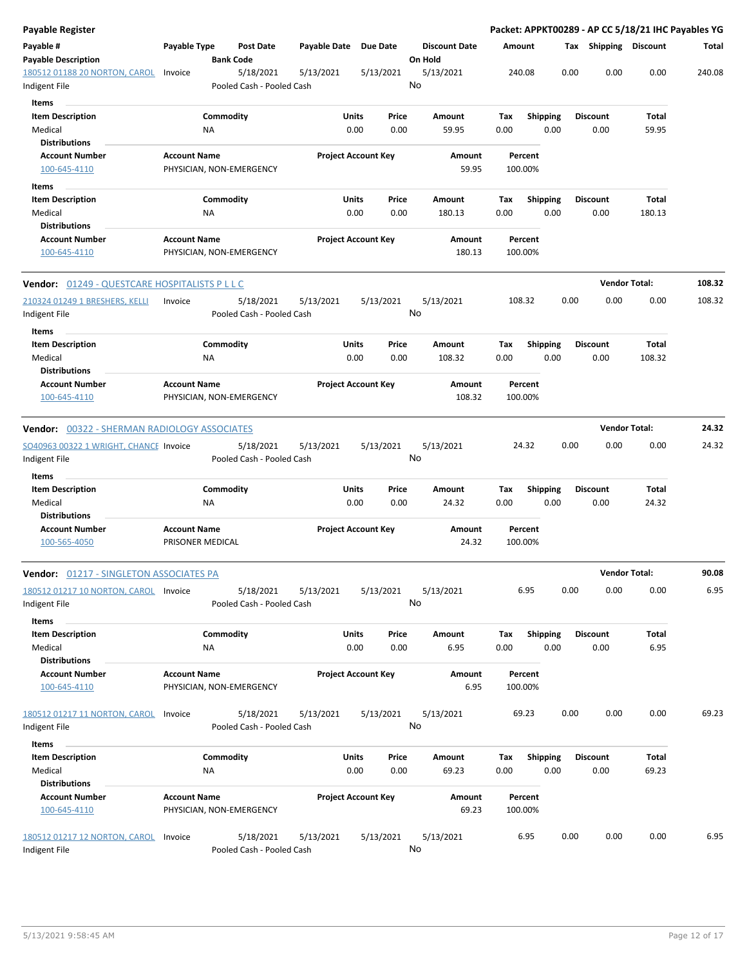| <b>Payable Register</b>                               |                     |                                        |                       |                      |                            |                                 |             |                         |      |                         | Packet: APPKT00289 - AP CC 5/18/21 IHC Payables YG |        |
|-------------------------------------------------------|---------------------|----------------------------------------|-----------------------|----------------------|----------------------------|---------------------------------|-------------|-------------------------|------|-------------------------|----------------------------------------------------|--------|
| Payable #<br><b>Payable Description</b>               | Payable Type        | Post Date<br><b>Bank Code</b>          | Payable Date Due Date |                      |                            | <b>Discount Date</b><br>On Hold |             | Amount                  |      | Tax Shipping Discount   |                                                    | Total  |
| 180512 01188 20 NORTON, CAROL<br>Indigent File        | Invoice             | 5/18/2021<br>Pooled Cash - Pooled Cash | 5/13/2021             |                      | 5/13/2021                  | 5/13/2021<br>No                 |             | 240.08                  | 0.00 | 0.00                    | 0.00                                               | 240.08 |
| Items                                                 |                     |                                        |                       |                      |                            |                                 |             |                         |      |                         |                                                    |        |
| <b>Item Description</b>                               |                     | Commodity                              |                       | Units                | Price                      | Amount                          | Tax         | <b>Shipping</b>         |      | <b>Discount</b>         | Total                                              |        |
| Medical                                               |                     | ΝA                                     |                       | 0.00                 | 0.00                       | 59.95                           | 0.00        | 0.00                    |      | 0.00                    | 59.95                                              |        |
| <b>Distributions</b>                                  |                     |                                        |                       |                      |                            |                                 |             |                         |      |                         |                                                    |        |
| <b>Account Number</b>                                 | <b>Account Name</b> |                                        |                       |                      | <b>Project Account Key</b> | Amount                          |             | Percent                 |      |                         |                                                    |        |
| 100-645-4110                                          |                     | PHYSICIAN, NON-EMERGENCY               |                       |                      |                            | 59.95                           |             | 100.00%                 |      |                         |                                                    |        |
| Items                                                 |                     |                                        |                       |                      |                            |                                 |             |                         |      |                         |                                                    |        |
| <b>Item Description</b>                               |                     | Commodity                              |                       | Units                | Price                      | Amount                          | Tax         | Shipping                |      | <b>Discount</b>         | <b>Total</b>                                       |        |
| Medical                                               |                     | <b>NA</b>                              |                       | 0.00                 | 0.00                       | 180.13                          | 0.00        | 0.00                    |      | 0.00                    | 180.13                                             |        |
| <b>Distributions</b>                                  |                     |                                        |                       |                      |                            |                                 |             |                         |      |                         |                                                    |        |
| <b>Account Number</b>                                 | <b>Account Name</b> |                                        |                       |                      | <b>Project Account Key</b> | Amount                          |             | Percent                 |      |                         |                                                    |        |
| 100-645-4110                                          |                     | PHYSICIAN, NON-EMERGENCY               |                       |                      |                            | 180.13                          |             | 100.00%                 |      |                         |                                                    |        |
| <b>Vendor:</b> 01249 - QUESTCARE HOSPITALISTS P L L C |                     |                                        |                       |                      |                            |                                 |             |                         |      |                         | <b>Vendor Total:</b>                               | 108.32 |
| 210324 01249 1 BRESHERS, KELLI                        | Invoice             | 5/18/2021                              | 5/13/2021             |                      | 5/13/2021                  | 5/13/2021                       |             | 108.32                  | 0.00 | 0.00                    | 0.00                                               | 108.32 |
| Indigent File                                         |                     | Pooled Cash - Pooled Cash              |                       |                      |                            | No                              |             |                         |      |                         |                                                    |        |
|                                                       |                     |                                        |                       |                      |                            |                                 |             |                         |      |                         |                                                    |        |
| Items                                                 |                     |                                        |                       |                      |                            |                                 |             |                         |      |                         |                                                    |        |
| <b>Item Description</b>                               |                     | Commodity                              |                       | Units                | Price                      | Amount                          | Tax         | Shipping                |      | <b>Discount</b>         | Total                                              |        |
| Medical                                               |                     | <b>NA</b>                              |                       | 0.00                 | 0.00                       | 108.32                          | 0.00        | 0.00                    |      | 0.00                    | 108.32                                             |        |
| <b>Distributions</b>                                  |                     |                                        |                       |                      |                            |                                 |             |                         |      |                         |                                                    |        |
| <b>Account Number</b>                                 | <b>Account Name</b> |                                        |                       |                      | <b>Project Account Key</b> | Amount                          |             | Percent                 |      |                         |                                                    |        |
| 100-645-4110                                          |                     | PHYSICIAN, NON-EMERGENCY               |                       |                      |                            | 108.32                          |             | 100.00%                 |      |                         |                                                    |        |
| Vendor: 00322 - SHERMAN RADIOLOGY ASSOCIATES          |                     |                                        |                       |                      |                            |                                 |             |                         |      |                         | <b>Vendor Total:</b>                               | 24.32  |
|                                                       |                     |                                        |                       |                      |                            |                                 |             | 24.32                   | 0.00 | 0.00                    | 0.00                                               | 24.32  |
| SO40963 00322 1 WRIGHT, CHANCE Invoice                |                     | 5/18/2021<br>Pooled Cash - Pooled Cash | 5/13/2021             |                      | 5/13/2021                  | 5/13/2021<br>No                 |             |                         |      |                         |                                                    |        |
| Indigent File                                         |                     |                                        |                       |                      |                            |                                 |             |                         |      |                         |                                                    |        |
| Items                                                 |                     |                                        |                       |                      |                            |                                 |             |                         |      |                         |                                                    |        |
| <b>Item Description</b>                               |                     | Commodity                              |                       | Units                | Price                      | Amount                          | Tax         | <b>Shipping</b>         |      | <b>Discount</b>         | Total                                              |        |
| Medical                                               |                     | <b>NA</b>                              |                       | 0.00                 | 0.00                       | 24.32                           | 0.00        | 0.00                    |      | 0.00                    | 24.32                                              |        |
| <b>Distributions</b>                                  |                     |                                        |                       |                      |                            |                                 |             |                         |      |                         |                                                    |        |
| <b>Account Number</b>                                 | <b>Account Name</b> |                                        |                       |                      | <b>Project Account Key</b> | Amount                          |             | Percent                 |      |                         |                                                    |        |
| 100-565-4050                                          | PRISONER MEDICAL    |                                        |                       |                      |                            | 24.32                           |             | 100.00%                 |      |                         |                                                    |        |
| Vendor: 01217 - SINGLETON ASSOCIATES PA               |                     |                                        |                       |                      |                            |                                 |             |                         |      |                         | <b>Vendor Total:</b>                               | 90.08  |
| 180512 01217 10 NORTON, CAROL Invoice                 |                     | 5/18/2021                              | 5/13/2021             |                      | 5/13/2021                  | 5/13/2021                       |             | 6.95                    | 0.00 | 0.00                    | 0.00                                               | 6.95   |
| Indigent File                                         |                     | Pooled Cash - Pooled Cash              |                       |                      |                            | No                              |             |                         |      |                         |                                                    |        |
| Items                                                 |                     |                                        |                       |                      |                            |                                 |             |                         |      |                         |                                                    |        |
| <b>Item Description</b><br>Medical                    |                     | Commodity<br>ΝA                        |                       | <b>Units</b><br>0.00 | Price<br>0.00              | Amount<br>6.95                  | Tax<br>0.00 | <b>Shipping</b><br>0.00 |      | <b>Discount</b><br>0.00 | Total<br>6.95                                      |        |
| <b>Distributions</b>                                  |                     |                                        |                       |                      |                            |                                 |             |                         |      |                         |                                                    |        |
| <b>Account Number</b><br>100-645-4110                 | <b>Account Name</b> | PHYSICIAN, NON-EMERGENCY               |                       |                      | <b>Project Account Key</b> | Amount<br>6.95                  |             | Percent<br>100.00%      |      |                         |                                                    |        |
|                                                       |                     |                                        |                       |                      |                            |                                 |             |                         |      |                         |                                                    |        |
| 180512 01217 11 NORTON, CAROL<br>Indigent File        | Invoice             | 5/18/2021<br>Pooled Cash - Pooled Cash | 5/13/2021             |                      | 5/13/2021                  | 5/13/2021<br>No                 |             | 69.23                   | 0.00 | 0.00                    | 0.00                                               | 69.23  |
| Items                                                 |                     |                                        |                       |                      |                            |                                 |             |                         |      |                         |                                                    |        |
| <b>Item Description</b>                               |                     | Commodity                              |                       | Units                | Price                      | Amount                          | Tax         | <b>Shipping</b>         |      | <b>Discount</b>         | Total                                              |        |
| Medical                                               |                     | NA                                     |                       | 0.00                 | 0.00                       | 69.23                           | 0.00        | 0.00                    |      | 0.00                    | 69.23                                              |        |
| <b>Distributions</b>                                  |                     |                                        |                       |                      |                            |                                 |             |                         |      |                         |                                                    |        |
|                                                       |                     |                                        |                       |                      |                            |                                 |             |                         |      |                         |                                                    |        |
| <b>Account Number</b><br>100-645-4110                 | <b>Account Name</b> | PHYSICIAN, NON-EMERGENCY               |                       |                      | <b>Project Account Key</b> | Amount<br>69.23                 |             | Percent<br>100.00%      |      |                         |                                                    |        |
| 180512 01217 12 NORTON, CAROL                         | Invoice             | 5/18/2021                              | 5/13/2021             |                      | 5/13/2021                  | 5/13/2021                       |             | 6.95                    | 0.00 | 0.00                    | 0.00                                               | 6.95   |
| Indigent File                                         |                     | Pooled Cash - Pooled Cash              |                       |                      |                            | No                              |             |                         |      |                         |                                                    |        |
|                                                       |                     |                                        |                       |                      |                            |                                 |             |                         |      |                         |                                                    |        |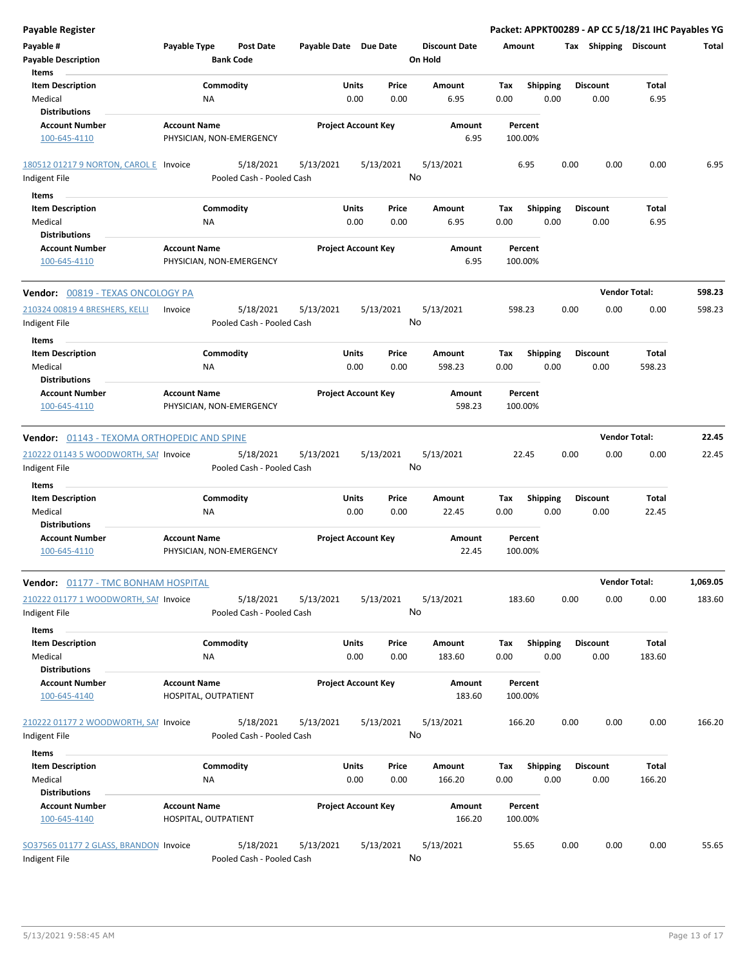| Payable Register                            |                                                 |                                      |                            |                            |               |                                       |             |                         |      |                         | Packet: APPKT00289 - AP CC 5/18/21 IHC Payables YG |          |
|---------------------------------------------|-------------------------------------------------|--------------------------------------|----------------------------|----------------------------|---------------|---------------------------------------|-------------|-------------------------|------|-------------------------|----------------------------------------------------|----------|
| Payable #<br><b>Payable Description</b>     | Payable Type                                    | <b>Post Date</b><br><b>Bank Code</b> | Payable Date Due Date      |                            |               | <b>Discount Date</b><br>On Hold       | Amount      |                         | Tax  | Shipping Discount       |                                                    | Total    |
| Items                                       |                                                 |                                      |                            |                            |               |                                       |             |                         |      |                         |                                                    |          |
| <b>Item Description</b>                     |                                                 | Commodity                            |                            | Units                      | Price         | Amount                                | Tax         | <b>Shipping</b>         |      | <b>Discount</b>         | Total                                              |          |
| Medical                                     | NA                                              |                                      |                            | 0.00                       | 0.00          | 6.95                                  | 0.00        | 0.00                    |      | 0.00                    | 6.95                                               |          |
| <b>Distributions</b>                        |                                                 |                                      |                            |                            |               |                                       |             |                         |      |                         |                                                    |          |
| <b>Account Number</b>                       | <b>Account Name</b>                             |                                      |                            | <b>Project Account Key</b> |               | Amount                                |             | Percent                 |      |                         |                                                    |          |
| 100-645-4110                                |                                                 | PHYSICIAN, NON-EMERGENCY             |                            |                            |               | 6.95                                  |             | 100.00%                 |      |                         |                                                    |          |
| 180512 01217 9 NORTON, CAROL E Invoice      |                                                 | 5/18/2021                            | 5/13/2021                  | 5/13/2021                  |               | 5/13/2021                             |             | 6.95                    | 0.00 | 0.00                    | 0.00                                               | 6.95     |
| Indigent File                               |                                                 | Pooled Cash - Pooled Cash            |                            |                            |               | No                                    |             |                         |      |                         |                                                    |          |
| Items                                       |                                                 |                                      |                            |                            |               |                                       |             |                         |      |                         |                                                    |          |
| <b>Item Description</b>                     |                                                 | Commodity                            |                            | Units                      | Price         | Amount                                | Tax         | <b>Shipping</b>         |      | <b>Discount</b>         | Total                                              |          |
| Medical                                     | ΝA                                              |                                      |                            | 0.00                       | 0.00          | 6.95                                  | 0.00        | 0.00                    |      | 0.00                    | 6.95                                               |          |
| <b>Distributions</b>                        |                                                 |                                      |                            |                            |               |                                       |             |                         |      |                         |                                                    |          |
| <b>Account Number</b>                       | <b>Account Name</b>                             |                                      |                            | <b>Project Account Key</b> |               | Amount                                |             | Percent                 |      |                         |                                                    |          |
| 100-645-4110                                |                                                 | PHYSICIAN, NON-EMERGENCY             |                            |                            |               | 6.95                                  |             | 100.00%                 |      |                         |                                                    |          |
| Vendor: 00819 - TEXAS ONCOLOGY PA           |                                                 |                                      |                            |                            |               |                                       |             |                         |      | <b>Vendor Total:</b>    |                                                    | 598.23   |
| 210324 00819 4 BRESHERS, KELLI              | Invoice                                         | 5/18/2021                            | 5/13/2021                  | 5/13/2021                  |               | 5/13/2021                             |             | 598.23                  | 0.00 | 0.00                    | 0.00                                               | 598.23   |
| Indigent File                               |                                                 | Pooled Cash - Pooled Cash            |                            |                            |               | No                                    |             |                         |      |                         |                                                    |          |
| Items                                       |                                                 |                                      |                            |                            |               |                                       |             |                         |      |                         |                                                    |          |
| <b>Item Description</b>                     |                                                 | Commodity                            |                            | Units                      | Price         | Amount                                | Tax         | <b>Shipping</b>         |      | <b>Discount</b>         | Total                                              |          |
| Medical                                     | ΝA                                              |                                      |                            | 0.00                       | 0.00          | 598.23                                | 0.00        | 0.00                    |      | 0.00                    | 598.23                                             |          |
| <b>Distributions</b>                        |                                                 |                                      |                            |                            |               |                                       |             |                         |      |                         |                                                    |          |
| <b>Account Number</b>                       | <b>Account Name</b>                             |                                      |                            | <b>Project Account Key</b> |               | Amount                                |             | Percent                 |      |                         |                                                    |          |
| 100-645-4110                                |                                                 | PHYSICIAN, NON-EMERGENCY             |                            |                            |               | 598.23                                |             | 100.00%                 |      |                         |                                                    |          |
| Vendor: 01143 - TEXOMA ORTHOPEDIC AND SPINE |                                                 |                                      |                            |                            |               |                                       |             |                         |      | <b>Vendor Total:</b>    |                                                    | 22.45    |
| 210222 01143 5 WOODWORTH, SAI Invoice       |                                                 | 5/18/2021                            | 5/13/2021                  | 5/13/2021                  |               | 5/13/2021                             |             | 22.45                   | 0.00 | 0.00                    | 0.00                                               | 22.45    |
| Indigent File                               |                                                 | Pooled Cash - Pooled Cash            |                            |                            |               | No                                    |             |                         |      |                         |                                                    |          |
| <b>Items</b>                                |                                                 |                                      |                            |                            |               |                                       |             |                         |      |                         |                                                    |          |
| <b>Item Description</b><br>Medical          | NA                                              | Commodity                            |                            | Units<br>0.00              | Price<br>0.00 | Amount<br>22.45                       | Tax<br>0.00 | <b>Shipping</b><br>0.00 |      | <b>Discount</b><br>0.00 | Total<br>22.45                                     |          |
| <b>Distributions</b>                        |                                                 |                                      |                            |                            |               |                                       |             |                         |      |                         |                                                    |          |
| <b>Account Number</b><br>100-645-4110       | <b>Account Name</b><br>PHYSICIAN, NON-EMERGENCY |                                      | <b>Project Account Key</b> |                            |               | Amount<br>Percent<br>22.45<br>100.00% |             |                         |      |                         |                                                    |          |
| <b>Vendor: 01177 - TMC BONHAM HOSPITAL</b>  |                                                 |                                      |                            |                            |               |                                       |             |                         |      | <b>Vendor Total:</b>    |                                                    | 1,069.05 |
| 210222 01177 1 WOODWORTH, SAI Invoice       |                                                 | 5/18/2021                            | 5/13/2021                  | 5/13/2021                  |               | 5/13/2021                             |             | 183.60                  | 0.00 | 0.00                    | 0.00                                               | 183.60   |
| Indigent File                               |                                                 | Pooled Cash - Pooled Cash            |                            |                            |               | No                                    |             |                         |      |                         |                                                    |          |
| <b>Items</b>                                |                                                 |                                      |                            |                            |               |                                       |             |                         |      |                         |                                                    |          |
| <b>Item Description</b>                     |                                                 | Commodity                            |                            | <b>Units</b>               | Price         | Amount                                | Tax         | <b>Shipping</b>         |      | Discount                | Total                                              |          |
| Medical                                     | NA                                              |                                      |                            | 0.00                       | 0.00          | 183.60                                | 0.00        | 0.00                    |      | 0.00                    | 183.60                                             |          |
| <b>Distributions</b>                        |                                                 |                                      |                            |                            |               |                                       |             |                         |      |                         |                                                    |          |
| <b>Account Number</b>                       | <b>Account Name</b>                             |                                      |                            | <b>Project Account Key</b> |               | <b>Amount</b>                         |             | Percent                 |      |                         |                                                    |          |
| 100-645-4140                                | HOSPITAL, OUTPATIENT                            |                                      |                            |                            |               | 183.60                                |             | 100.00%                 |      |                         |                                                    |          |
| 210222 01177 2 WOODWORTH, SAI Invoice       |                                                 | 5/18/2021                            | 5/13/2021                  | 5/13/2021                  |               | 5/13/2021                             |             | 166.20                  | 0.00 | 0.00                    | 0.00                                               | 166.20   |
| Indigent File                               |                                                 | Pooled Cash - Pooled Cash            |                            |                            |               | No                                    |             |                         |      |                         |                                                    |          |
| Items                                       |                                                 |                                      |                            |                            |               |                                       |             |                         |      |                         |                                                    |          |
| <b>Item Description</b>                     |                                                 | Commodity                            |                            | <b>Units</b>               | Price         | Amount                                |             |                         |      | <b>Discount</b>         | Total                                              |          |
|                                             |                                                 |                                      |                            |                            |               |                                       | Tax         | <b>Shipping</b>         |      |                         |                                                    |          |
| Medical<br><b>Distributions</b>             | NA                                              |                                      |                            | 0.00                       | 0.00          | 166.20                                | 0.00        | 0.00                    |      | 0.00                    | 166.20                                             |          |
|                                             |                                                 |                                      |                            |                            |               |                                       |             |                         |      |                         |                                                    |          |
| <b>Account Number</b><br>100-645-4140       | <b>Account Name</b><br>HOSPITAL, OUTPATIENT     |                                      |                            | <b>Project Account Key</b> |               | Amount<br>166.20                      |             | Percent<br>100.00%      |      |                         |                                                    |          |
| SO37565 01177 2 GLASS, BRANDON Invoice      |                                                 | 5/18/2021                            | 5/13/2021                  | 5/13/2021                  |               | 5/13/2021                             |             | 55.65                   | 0.00 | 0.00                    | 0.00                                               | 55.65    |
| Indigent File                               |                                                 | Pooled Cash - Pooled Cash            |                            |                            |               | No                                    |             |                         |      |                         |                                                    |          |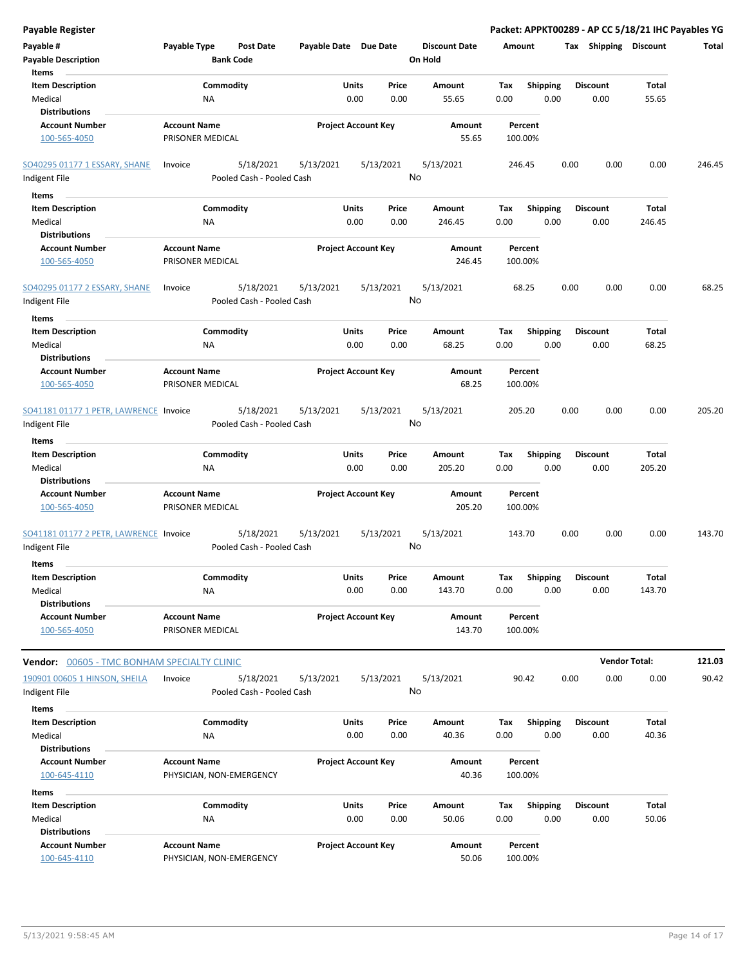| <b>Payable Register</b>                            |                                                      |                       |                            |                                 |                    | Packet: APPKT00289 - AP CC 5/18/21 IHC Payables YG |                         |      |                       |        |
|----------------------------------------------------|------------------------------------------------------|-----------------------|----------------------------|---------------------------------|--------------------|----------------------------------------------------|-------------------------|------|-----------------------|--------|
| Payable #<br><b>Payable Description</b>            | Payable Type<br><b>Post Date</b><br><b>Bank Code</b> | Payable Date Due Date |                            | <b>Discount Date</b><br>On Hold | Amount             |                                                    |                         |      | Tax Shipping Discount | Total  |
| Items                                              |                                                      |                       |                            |                                 |                    |                                                    |                         |      |                       |        |
| <b>Item Description</b><br>Medical                 | Commodity<br><b>NA</b>                               | Units                 | Price<br>0.00<br>0.00      | Amount<br>55.65                 | Tax<br>0.00        | <b>Shipping</b><br>0.00                            | <b>Discount</b><br>0.00 |      | <b>Total</b><br>55.65 |        |
| <b>Distributions</b>                               |                                                      |                       |                            |                                 |                    |                                                    |                         |      |                       |        |
| <b>Account Number</b><br>100-565-4050              | <b>Account Name</b><br>PRISONER MEDICAL              |                       | <b>Project Account Key</b> | Amount<br>55.65                 | Percent<br>100.00% |                                                    |                         |      |                       |        |
| SO40295 01177 1 ESSARY, SHANE<br>Indigent File     | 5/18/2021<br>Invoice<br>Pooled Cash - Pooled Cash    | 5/13/2021             | 5/13/2021                  | 5/13/2021<br>No                 | 246.45             |                                                    | 0.00                    | 0.00 | 0.00                  | 246.45 |
|                                                    |                                                      |                       |                            |                                 |                    |                                                    |                         |      |                       |        |
| Items<br><b>Item Description</b>                   | Commodity                                            | Units                 | Price                      | Amount                          | Tax                | <b>Shipping</b>                                    | <b>Discount</b>         |      | Total                 |        |
| Medical                                            | <b>NA</b>                                            |                       | 0.00<br>0.00               | 246.45                          | 0.00               | 0.00                                               | 0.00                    |      | 246.45                |        |
| <b>Distributions</b>                               |                                                      |                       |                            |                                 |                    |                                                    |                         |      |                       |        |
| <b>Account Number</b>                              | <b>Account Name</b>                                  |                       | <b>Project Account Key</b> | Amount                          | Percent            |                                                    |                         |      |                       |        |
| 100-565-4050                                       | PRISONER MEDICAL                                     |                       |                            | 246.45                          | 100.00%            |                                                    |                         |      |                       |        |
| SO40295 01177 2 ESSARY, SHANE<br>Indigent File     | 5/18/2021<br>Invoice<br>Pooled Cash - Pooled Cash    | 5/13/2021             | 5/13/2021                  | 5/13/2021<br>No                 | 68.25              |                                                    | 0.00                    | 0.00 | 0.00                  | 68.25  |
| Items                                              |                                                      |                       |                            |                                 |                    |                                                    |                         |      |                       |        |
| <b>Item Description</b>                            | Commodity                                            | <b>Units</b>          | Price                      | Amount                          | Tax                | <b>Shipping</b>                                    | <b>Discount</b>         |      | Total                 |        |
| Medical<br><b>Distributions</b>                    | <b>NA</b>                                            |                       | 0.00<br>0.00               | 68.25                           | 0.00               | 0.00                                               | 0.00                    |      | 68.25                 |        |
| <b>Account Number</b>                              | <b>Account Name</b>                                  |                       | <b>Project Account Key</b> | Amount                          | Percent            |                                                    |                         |      |                       |        |
| 100-565-4050                                       | PRISONER MEDICAL                                     |                       |                            | 68.25                           | 100.00%            |                                                    |                         |      |                       |        |
| SO41181 01177 1 PETR, LAWRENCE Invoice             | 5/18/2021                                            | 5/13/2021             | 5/13/2021                  | 5/13/2021                       | 205.20             |                                                    | 0.00                    | 0.00 | 0.00                  | 205.20 |
| Indigent File                                      | Pooled Cash - Pooled Cash                            |                       |                            | No                              |                    |                                                    |                         |      |                       |        |
| Items                                              |                                                      |                       |                            |                                 |                    |                                                    |                         |      |                       |        |
| <b>Item Description</b>                            | Commodity                                            | Units                 | Price                      | Amount                          | Tax                | <b>Shipping</b>                                    | <b>Discount</b>         |      | Total                 |        |
| Medical<br><b>Distributions</b>                    | <b>NA</b>                                            |                       | 0.00<br>0.00               | 205.20                          | 0.00               | 0.00                                               | 0.00                    |      | 205.20                |        |
| <b>Account Number</b><br>100-565-4050              | <b>Account Name</b><br>PRISONER MEDICAL              |                       | <b>Project Account Key</b> | Amount<br>205.20                | Percent<br>100.00% |                                                    |                         |      |                       |        |
| SO41181 01177 2 PETR, LAWRENCE<br>Indigent File    | 5/18/2021<br>Invoice<br>Pooled Cash - Pooled Cash    | 5/13/2021             | 5/13/2021                  | 5/13/2021<br>No                 | 143.70             |                                                    | 0.00                    | 0.00 | 0.00                  | 143.70 |
| Items                                              |                                                      |                       |                            |                                 |                    |                                                    |                         |      |                       |        |
| <b>Item Description</b>                            | Commodity                                            | Units                 | Price                      | Amount                          | Tax                | <b>Shipping</b>                                    | <b>Discount</b>         |      | Total                 |        |
| Medical                                            | <b>NA</b>                                            |                       | 0.00<br>0.00               | 143.70                          | 0.00               | 0.00                                               | 0.00                    |      | 143.70                |        |
| <b>Distributions</b>                               |                                                      |                       |                            |                                 |                    |                                                    |                         |      |                       |        |
| <b>Account Number</b><br>100-565-4050              | <b>Account Name</b><br>PRISONER MEDICAL              |                       | <b>Project Account Key</b> | Amount<br>143.70                | Percent<br>100.00% |                                                    |                         |      |                       |        |
| <b>Vendor: 00605 - TMC BONHAM SPECIALTY CLINIC</b> |                                                      |                       |                            |                                 |                    |                                                    |                         |      | <b>Vendor Total:</b>  | 121.03 |
| 190901 00605 1 HINSON, SHEILA                      | 5/18/2021<br>Invoice                                 | 5/13/2021             | 5/13/2021                  | 5/13/2021                       | 90.42              |                                                    | 0.00                    | 0.00 | 0.00                  | 90.42  |
| Indigent File                                      | Pooled Cash - Pooled Cash                            |                       |                            | No                              |                    |                                                    |                         |      |                       |        |
| Items                                              |                                                      |                       |                            |                                 |                    |                                                    |                         |      |                       |        |
| <b>Item Description</b>                            | Commodity                                            | Units                 | Price                      | Amount                          | Tax                | Shipping                                           | <b>Discount</b>         |      | Total                 |        |
| Medical                                            | <b>NA</b>                                            |                       | 0.00<br>0.00               | 40.36                           | 0.00               | 0.00                                               | 0.00                    |      | 40.36                 |        |
| <b>Distributions</b>                               |                                                      |                       |                            |                                 |                    |                                                    |                         |      |                       |        |
| <b>Account Number</b>                              | <b>Account Name</b>                                  |                       | <b>Project Account Key</b> | Amount                          | Percent            |                                                    |                         |      |                       |        |
| 100-645-4110                                       | PHYSICIAN, NON-EMERGENCY                             |                       |                            | 40.36                           | 100.00%            |                                                    |                         |      |                       |        |
| Items                                              |                                                      |                       |                            |                                 |                    |                                                    |                         |      |                       |        |
| <b>Item Description</b>                            | Commodity                                            | Units                 | Price                      | Amount                          | Tax                | <b>Shipping</b>                                    | <b>Discount</b>         |      | Total                 |        |
| Medical                                            | <b>NA</b>                                            |                       | 0.00<br>0.00               | 50.06                           | 0.00               | 0.00                                               | 0.00                    |      | 50.06                 |        |
| <b>Distributions</b>                               |                                                      |                       |                            |                                 |                    |                                                    |                         |      |                       |        |
| <b>Account Number</b>                              | <b>Account Name</b>                                  |                       | <b>Project Account Key</b> | Amount                          | Percent            |                                                    |                         |      |                       |        |
| 100-645-4110                                       | PHYSICIAN, NON-EMERGENCY                             |                       |                            | 50.06                           | 100.00%            |                                                    |                         |      |                       |        |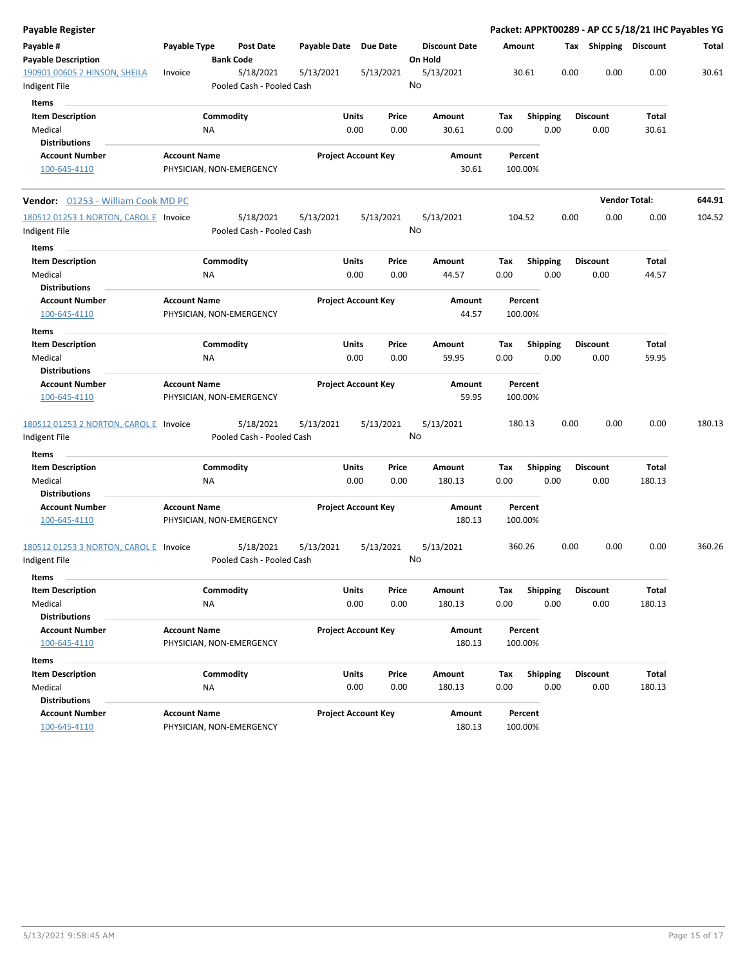| Payable Register                                       |                                                 |                                        |                            |       |           |                                 |        |                    |      |                       | Packet: APPKT00289 - AP CC 5/18/21 IHC Payables YG |        |
|--------------------------------------------------------|-------------------------------------------------|----------------------------------------|----------------------------|-------|-----------|---------------------------------|--------|--------------------|------|-----------------------|----------------------------------------------------|--------|
| Payable #<br><b>Payable Description</b>                | Payable Type                                    | <b>Post Date</b><br><b>Bank Code</b>   | Payable Date Due Date      |       |           | <b>Discount Date</b><br>On Hold | Amount |                    |      | Tax Shipping Discount |                                                    | Total  |
| 190901 00605 2 HINSON, SHEILA                          | Invoice                                         | 5/18/2021                              | 5/13/2021                  |       | 5/13/2021 | 5/13/2021                       |        | 30.61              | 0.00 | 0.00                  | 0.00                                               | 30.61  |
| Indigent File                                          |                                                 | Pooled Cash - Pooled Cash              |                            |       |           | No                              |        |                    |      |                       |                                                    |        |
| Items                                                  |                                                 |                                        |                            |       |           |                                 |        |                    |      |                       |                                                    |        |
| <b>Item Description</b>                                |                                                 | Commodity                              |                            | Units | Price     | Amount                          | Tax    | <b>Shipping</b>    |      | <b>Discount</b>       | Total                                              |        |
| Medical                                                | ΝA                                              |                                        |                            | 0.00  | 0.00      | 30.61                           | 0.00   | 0.00               |      | 0.00                  | 30.61                                              |        |
| <b>Distributions</b>                                   |                                                 |                                        |                            |       |           |                                 |        |                    |      |                       |                                                    |        |
| <b>Account Number</b><br>100-645-4110                  | <b>Account Name</b><br>PHYSICIAN, NON-EMERGENCY |                                        | <b>Project Account Key</b> |       |           | Amount<br>30.61                 |        | Percent<br>100.00% |      |                       |                                                    |        |
| Vendor: 01253 - William Cook MD PC                     |                                                 |                                        |                            |       |           |                                 |        |                    |      |                       | <b>Vendor Total:</b>                               | 644.91 |
| 180512 01253 1 NORTON, CAROL E Invoice                 |                                                 | 5/18/2021                              | 5/13/2021                  |       | 5/13/2021 | 5/13/2021                       |        | 104.52             | 0.00 | 0.00                  | 0.00                                               | 104.52 |
| Indigent File                                          |                                                 | Pooled Cash - Pooled Cash              |                            |       |           | No                              |        |                    |      |                       |                                                    |        |
| Items<br><b>Item Description</b>                       |                                                 | Commodity                              |                            | Units | Price     | Amount                          | Tax    | <b>Shipping</b>    |      | <b>Discount</b>       | Total                                              |        |
| Medical                                                | ΝA                                              |                                        |                            | 0.00  | 0.00      | 44.57                           | 0.00   | 0.00               |      | 0.00                  | 44.57                                              |        |
| <b>Distributions</b>                                   |                                                 |                                        |                            |       |           |                                 |        |                    |      |                       |                                                    |        |
| <b>Account Number</b><br>100-645-4110                  | <b>Account Name</b><br>PHYSICIAN, NON-EMERGENCY |                                        | <b>Project Account Key</b> |       |           | Amount<br>44.57                 |        | Percent<br>100.00% |      |                       |                                                    |        |
| Items                                                  |                                                 |                                        |                            |       |           |                                 |        |                    |      |                       |                                                    |        |
| <b>Item Description</b>                                |                                                 | Commodity                              |                            | Units | Price     | Amount                          | Tax    | <b>Shipping</b>    |      | <b>Discount</b>       | Total                                              |        |
| Medical                                                | <b>NA</b>                                       |                                        |                            | 0.00  | 0.00      | 59.95                           | 0.00   | 0.00               |      | 0.00                  | 59.95                                              |        |
| Distributions                                          |                                                 |                                        |                            |       |           |                                 |        |                    |      |                       |                                                    |        |
| <b>Account Number</b>                                  | <b>Account Name</b>                             |                                        | <b>Project Account Key</b> |       |           | Amount                          |        | Percent            |      |                       |                                                    |        |
| 100-645-4110                                           | PHYSICIAN, NON-EMERGENCY                        |                                        |                            |       |           | 59.95                           |        | 100.00%            |      |                       |                                                    |        |
| 180512 01253 2 NORTON, CAROL E Invoice<br>ndigent File |                                                 | 5/18/2021<br>Pooled Cash - Pooled Cash | 5/13/2021                  |       | 5/13/2021 | 5/13/2021<br>No                 |        | 180.13             | 0.00 | 0.00                  | 0.00                                               | 180.13 |
| Items                                                  |                                                 |                                        |                            |       |           |                                 |        |                    |      |                       |                                                    |        |
| <b>Item Description</b>                                |                                                 | Commodity                              |                            | Units | Price     | Amount                          | Tax    | <b>Shipping</b>    |      | <b>Discount</b>       | Total                                              |        |
| Medical                                                | ΝA                                              |                                        |                            | 0.00  | 0.00      | 180.13                          | 0.00   | 0.00               |      | 0.00                  | 180.13                                             |        |
| <b>Distributions</b>                                   |                                                 |                                        |                            |       |           |                                 |        |                    |      |                       |                                                    |        |
| <b>Account Number</b>                                  | <b>Account Name</b>                             |                                        | <b>Project Account Key</b> |       |           | Amount                          |        | Percent            |      |                       |                                                    |        |
| 100-645-4110                                           | PHYSICIAN, NON-EMERGENCY                        |                                        |                            |       |           | 180.13                          |        | 100.00%            |      |                       |                                                    |        |
| 180512 01253 3 NORTON, CAROL E                         | Invoice                                         | 5/18/2021                              | 5/13/2021                  |       | 5/13/2021 | 5/13/2021                       |        | 360.26             | 0.00 | 0.00                  | 0.00                                               | 360.26 |
| Indigent File                                          |                                                 | Pooled Cash - Pooled Cash              |                            |       |           | No                              |        |                    |      |                       |                                                    |        |
| Items                                                  |                                                 |                                        |                            |       |           |                                 |        |                    |      |                       |                                                    |        |
| <b>Item Description</b>                                |                                                 | Commodity                              |                            | Units | Price     | Amount                          | Tax    | Shipping           |      | <b>Discount</b>       | Total                                              |        |
| Medical                                                | NA                                              |                                        |                            | 0.00  | 0.00      | 180.13                          | 0.00   | 0.00               |      | 0.00                  | 180.13                                             |        |
| <b>Distributions</b>                                   |                                                 |                                        |                            |       |           |                                 |        |                    |      |                       |                                                    |        |
| <b>Account Number</b>                                  | <b>Account Name</b>                             |                                        | <b>Project Account Key</b> |       |           | Amount                          |        | Percent            |      |                       |                                                    |        |
| 100-645-4110                                           | PHYSICIAN, NON-EMERGENCY                        |                                        |                            |       |           | 180.13                          |        | 100.00%            |      |                       |                                                    |        |
| Items                                                  |                                                 |                                        |                            |       |           |                                 |        |                    |      |                       |                                                    |        |
| <b>Item Description</b>                                |                                                 | Commodity                              |                            | Units | Price     | Amount                          | Tax    | Shipping           |      | <b>Discount</b>       | Total                                              |        |
| Medical                                                | NA                                              |                                        |                            | 0.00  | 0.00      | 180.13                          | 0.00   | 0.00               |      | 0.00                  | 180.13                                             |        |
| <b>Distributions</b>                                   |                                                 |                                        |                            |       |           |                                 |        |                    |      |                       |                                                    |        |
| <b>Account Number</b>                                  | <b>Account Name</b>                             |                                        | <b>Project Account Key</b> |       |           | Amount                          |        | Percent            |      |                       |                                                    |        |
| 100-645-4110                                           | PHYSICIAN, NON-EMERGENCY                        |                                        |                            |       |           | 180.13                          |        | 100.00%            |      |                       |                                                    |        |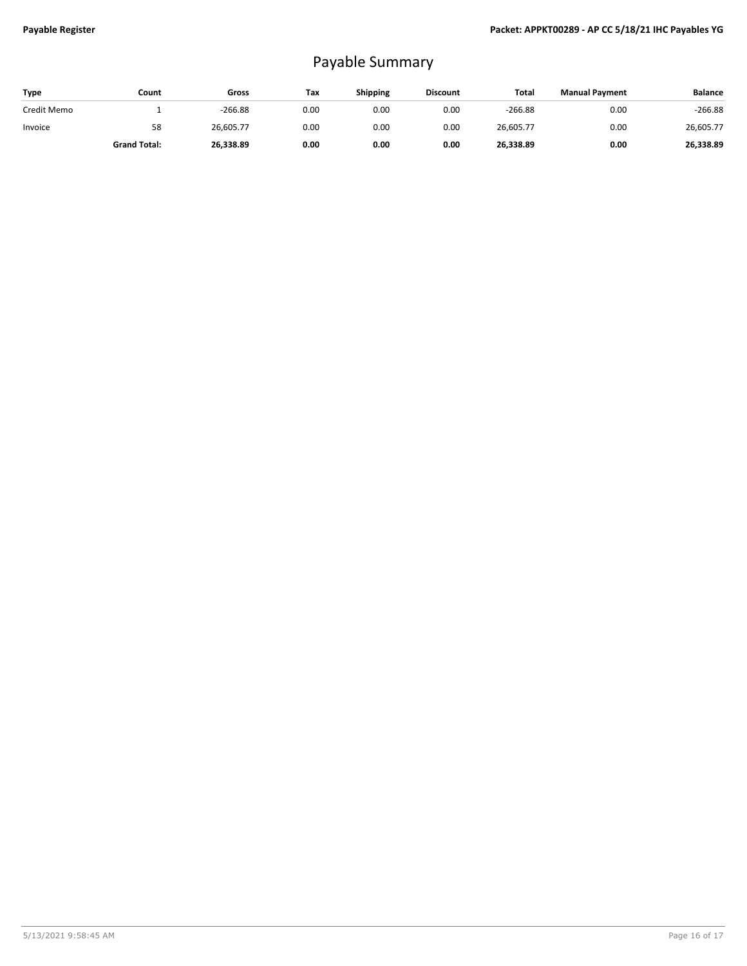## Payable Summary

| <b>Type</b> | Count               | Gross     | Tax  | <b>Shipping</b> | <b>Discount</b> | Total     | <b>Manual Payment</b> | <b>Balance</b> |
|-------------|---------------------|-----------|------|-----------------|-----------------|-----------|-----------------------|----------------|
| Credit Memo |                     | $-266.88$ | 0.00 | 0.00            | 0.00            | $-266.88$ | 0.00                  | $-266.88$      |
| Invoice     | 58                  | 26,605.77 | 0.00 | 0.00            | 0.00            | 26,605.77 | 0.00                  | 26,605.77      |
|             | <b>Grand Total:</b> | 26,338.89 | 0.00 | 0.00            | 0.00            | 26,338.89 | 0.00                  | 26,338.89      |